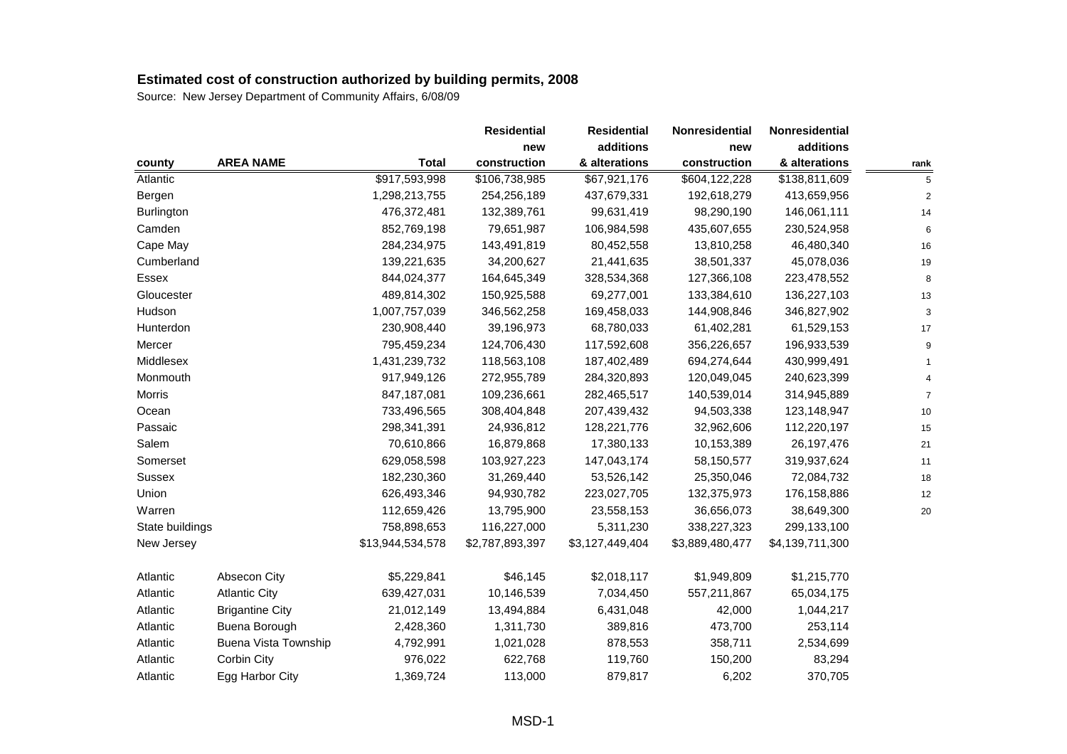|                                    |                                   |              | <b>Residential</b> | <b>Residential</b> | Nonresidential  | Nonresidential  |                |
|------------------------------------|-----------------------------------|--------------|--------------------|--------------------|-----------------|-----------------|----------------|
|                                    |                                   |              | new                | additions          | new             | additions       |                |
| <b>AREA NAME</b><br>county         |                                   | <b>Total</b> | construction       | & alterations      | construction    | & alterations   | rank           |
| Atlantic                           | \$917,593,998                     |              | \$106,738,985      | \$67,921,176       | \$604,122,228   | \$138,811,609   | 5              |
| Bergen                             | 1,298,213,755                     |              | 254,256,189        | 437,679,331        | 192,618,279     | 413,659,956     | $\overline{c}$ |
| Burlington                         | 476,372,481                       |              | 132,389,761        | 99,631,419         | 98,290,190      | 146,061,111     | 14             |
| Camden                             | 852,769,198                       |              | 79,651,987         | 106,984,598        | 435,607,655     | 230,524,958     | 6              |
| Cape May                           | 284,234,975                       |              | 143,491,819        | 80,452,558         | 13,810,258      | 46,480,340      | 16             |
| Cumberland                         | 139,221,635                       |              | 34,200,627         | 21,441,635         | 38,501,337      | 45,078,036      | 19             |
| Essex                              | 844,024,377                       |              | 164,645,349        | 328,534,368        | 127,366,108     | 223,478,552     | 8              |
| Gloucester                         | 489,814,302                       |              | 150,925,588        | 69,277,001         | 133,384,610     | 136,227,103     | 13             |
| Hudson                             | 1,007,757,039                     |              | 346,562,258        | 169,458,033        | 144,908,846     | 346,827,902     | 3              |
| Hunterdon                          | 230,908,440                       |              | 39,196,973         | 68,780,033         | 61,402,281      | 61,529,153      | 17             |
| Mercer                             | 795,459,234                       |              | 124,706,430        | 117,592,608        | 356,226,657     | 196,933,539     | 9              |
| Middlesex                          | 1,431,239,732                     |              | 118,563,108        | 187,402,489        | 694,274,644     | 430,999,491     | $\mathbf{1}$   |
| Monmouth                           | 917,949,126                       |              | 272,955,789        | 284,320,893        | 120,049,045     | 240,623,399     | $\overline{4}$ |
| Morris                             | 847,187,081                       |              | 109,236,661        | 282,465,517        | 140,539,014     | 314,945,889     | $\overline{7}$ |
| Ocean                              | 733,496,565                       |              | 308,404,848        | 207,439,432        | 94,503,338      | 123,148,947     | 10             |
| Passaic                            | 298,341,391                       |              | 24,936,812         | 128,221,776        | 32,962,606      | 112,220,197     | 15             |
| Salem                              | 70,610,866                        |              | 16,879,868         | 17,380,133         | 10,153,389      | 26, 197, 476    | 21             |
| Somerset                           | 629,058,598                       |              | 103,927,223        | 147,043,174        | 58,150,577      | 319,937,624     | 11             |
| Sussex                             | 182,230,360                       |              | 31,269,440         | 53,526,142         | 25,350,046      | 72,084,732      | 18             |
| Union                              | 626,493,346                       |              | 94,930,782         | 223,027,705        | 132,375,973     | 176,158,886     | 12             |
| Warren                             | 112,659,426                       |              | 13,795,900         | 23,558,153         | 36,656,073      | 38,649,300      | 20             |
| State buildings                    | 758,898,653                       |              | 116,227,000        | 5,311,230          | 338,227,323     | 299,133,100     |                |
| New Jersey                         | \$13,944,534,578                  |              | \$2,787,893,397    | \$3,127,449,404    | \$3,889,480,477 | \$4,139,711,300 |                |
| Atlantic<br>Absecon City           | \$5,229,841                       |              | \$46,145           | \$2,018,117        | \$1,949,809     | \$1,215,770     |                |
| Atlantic<br><b>Atlantic City</b>   | 639,427,031                       |              | 10,146,539         | 7,034,450          | 557,211,867     | 65,034,175      |                |
| Atlantic<br><b>Brigantine City</b> | 21,012,149                        |              | 13,494,884         | 6,431,048          | 42,000          | 1,044,217       |                |
| Buena Borough<br>Atlantic          | 2,428,360                         |              | 1,311,730          | 389,816            | 473,700         | 253,114         |                |
| Atlantic                           | Buena Vista Township<br>4,792,991 |              | 1,021,028          | 878,553            | 358,711         | 2,534,699       |                |
| Corbin City<br>Atlantic            | 976,022                           |              | 622,768            | 119,760            | 150,200         | 83,294          |                |
| Egg Harbor City<br>Atlantic        | 1,369,724                         |              | 113,000            | 879,817            | 6,202           | 370,705         |                |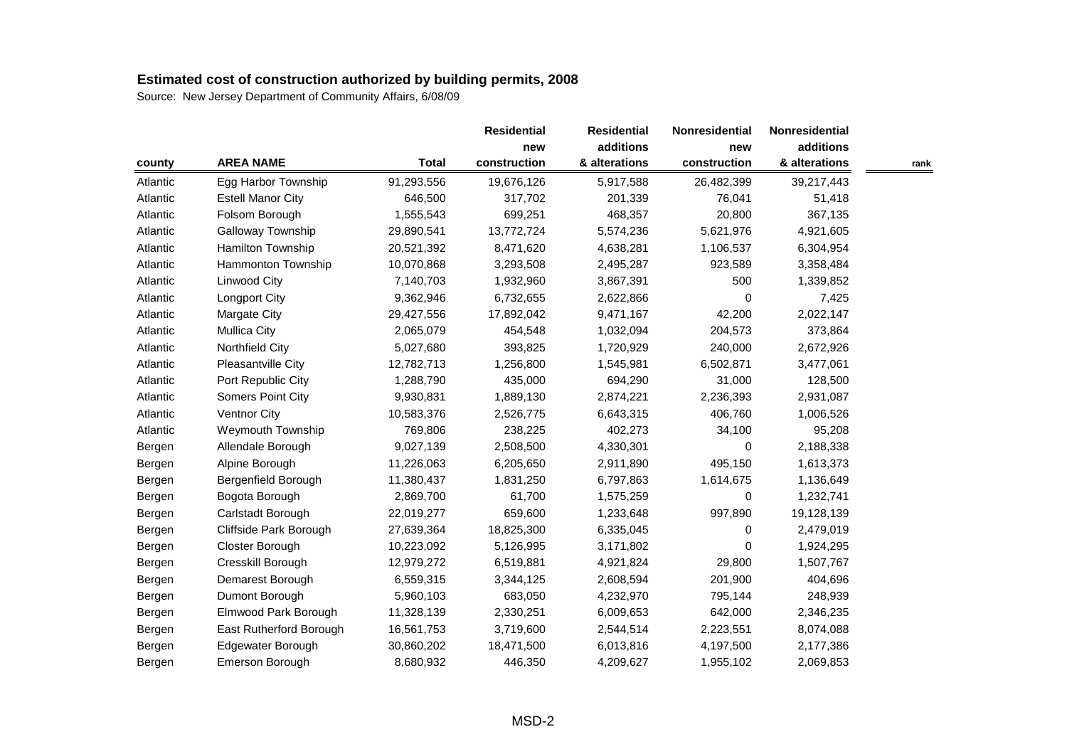|          |                          |              | <b>Residential</b> | <b>Residential</b> | <b>Nonresidential</b> | Nonresidential |      |
|----------|--------------------------|--------------|--------------------|--------------------|-----------------------|----------------|------|
|          |                          |              | new                | additions          | new                   | additions      |      |
| county   | <b>AREA NAME</b>         | <b>Total</b> | construction       | & alterations      | construction          | & alterations  | rank |
| Atlantic | Egg Harbor Township      | 91,293,556   | 19,676,126         | 5,917,588          | 26,482,399            | 39,217,443     |      |
| Atlantic | <b>Estell Manor City</b> | 646,500      | 317,702            | 201,339            | 76,041                | 51,418         |      |
| Atlantic | Folsom Borough           | 1,555,543    | 699,251            | 468,357            | 20,800                | 367,135        |      |
| Atlantic | Galloway Township        | 29,890,541   | 13,772,724         | 5,574,236          | 5,621,976             | 4,921,605      |      |
| Atlantic | Hamilton Township        | 20,521,392   | 8,471,620          | 4,638,281          | 1,106,537             | 6,304,954      |      |
| Atlantic | Hammonton Township       | 10,070,868   | 3,293,508          | 2,495,287          | 923,589               | 3,358,484      |      |
| Atlantic | Linwood City             | 7,140,703    | 1,932,960          | 3,867,391          | 500                   | 1,339,852      |      |
| Atlantic | <b>Longport City</b>     | 9,362,946    | 6,732,655          | 2,622,866          | 0                     | 7,425          |      |
| Atlantic | Margate City             | 29,427,556   | 17,892,042         | 9,471,167          | 42,200                | 2,022,147      |      |
| Atlantic | <b>Mullica City</b>      | 2,065,079    | 454,548            | 1,032,094          | 204,573               | 373,864        |      |
| Atlantic | Northfield City          | 5,027,680    | 393,825            | 1,720,929          | 240,000               | 2,672,926      |      |
| Atlantic | Pleasantville City       | 12,782,713   | 1,256,800          | 1,545,981          | 6,502,871             | 3,477,061      |      |
| Atlantic | Port Republic City       | 1,288,790    | 435,000            | 694,290            | 31,000                | 128,500        |      |
| Atlantic | Somers Point City        | 9,930,831    | 1,889,130          | 2,874,221          | 2,236,393             | 2,931,087      |      |
| Atlantic | Ventnor City             | 10,583,376   | 2,526,775          | 6,643,315          | 406,760               | 1,006,526      |      |
| Atlantic | Weymouth Township        | 769,806      | 238,225            | 402,273            | 34,100                | 95,208         |      |
| Bergen   | Allendale Borough        | 9,027,139    | 2,508,500          | 4,330,301          | 0                     | 2,188,338      |      |
| Bergen   | Alpine Borough           | 11,226,063   | 6,205,650          | 2,911,890          | 495,150               | 1,613,373      |      |
| Bergen   | Bergenfield Borough      | 11,380,437   | 1,831,250          | 6,797,863          | 1,614,675             | 1,136,649      |      |
| Bergen   | Bogota Borough           | 2,869,700    | 61,700             | 1,575,259          | 0                     | 1,232,741      |      |
| Bergen   | Carlstadt Borough        | 22,019,277   | 659,600            | 1,233,648          | 997,890               | 19,128,139     |      |
| Bergen   | Cliffside Park Borough   | 27,639,364   | 18,825,300         | 6,335,045          | 0                     | 2,479,019      |      |
| Bergen   | Closter Borough          | 10,223,092   | 5,126,995          | 3,171,802          | 0                     | 1,924,295      |      |
| Bergen   | Cresskill Borough        | 12,979,272   | 6,519,881          | 4,921,824          | 29,800                | 1,507,767      |      |
| Bergen   | Demarest Borough         | 6,559,315    | 3,344,125          | 2,608,594          | 201,900               | 404,696        |      |
| Bergen   | Dumont Borough           | 5,960,103    | 683,050            | 4,232,970          | 795,144               | 248,939        |      |
| Bergen   | Elmwood Park Borough     | 11,328,139   | 2,330,251          | 6,009,653          | 642,000               | 2,346,235      |      |
| Bergen   | East Rutherford Borough  | 16,561,753   | 3,719,600          | 2,544,514          | 2,223,551             | 8,074,088      |      |
| Bergen   | Edgewater Borough        | 30,860,202   | 18,471,500         | 6,013,816          | 4,197,500             | 2,177,386      |      |
| Bergen   | Emerson Borough          | 8,680,932    | 446,350            | 4,209,627          | 1,955,102             | 2,069,853      |      |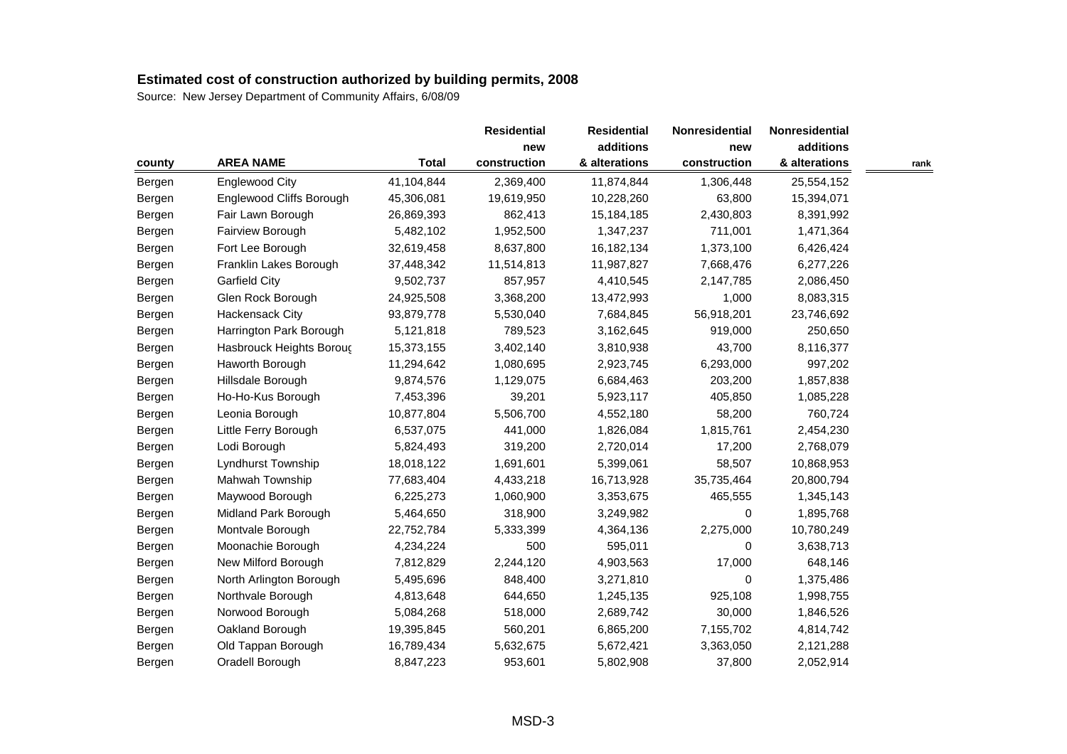|        |                          |              | <b>Residential</b> | <b>Residential</b> | <b>Nonresidential</b> | Nonresidential |      |
|--------|--------------------------|--------------|--------------------|--------------------|-----------------------|----------------|------|
|        |                          |              | new                | additions          | new                   | additions      |      |
| county | <b>AREA NAME</b>         | <b>Total</b> | construction       | & alterations      | construction          | & alterations  | rank |
| Bergen | <b>Englewood City</b>    | 41,104,844   | 2,369,400          | 11,874,844         | 1,306,448             | 25,554,152     |      |
| Bergen | Englewood Cliffs Borough | 45,306,081   | 19,619,950         | 10,228,260         | 63,800                | 15,394,071     |      |
| Bergen | Fair Lawn Borough        | 26,869,393   | 862,413            | 15,184,185         | 2,430,803             | 8,391,992      |      |
| Bergen | Fairview Borough         | 5,482,102    | 1,952,500          | 1,347,237          | 711,001               | 1,471,364      |      |
| Bergen | Fort Lee Borough         | 32,619,458   | 8,637,800          | 16,182,134         | 1,373,100             | 6,426,424      |      |
| Bergen | Franklin Lakes Borough   | 37,448,342   | 11,514,813         | 11,987,827         | 7,668,476             | 6,277,226      |      |
| Bergen | <b>Garfield City</b>     | 9,502,737    | 857,957            | 4,410,545          | 2,147,785             | 2,086,450      |      |
| Bergen | Glen Rock Borough        | 24,925,508   | 3,368,200          | 13,472,993         | 1,000                 | 8,083,315      |      |
| Bergen | <b>Hackensack City</b>   | 93,879,778   | 5,530,040          | 7,684,845          | 56,918,201            | 23,746,692     |      |
| Bergen | Harrington Park Borough  | 5,121,818    | 789,523            | 3,162,645          | 919,000               | 250,650        |      |
| Bergen | Hasbrouck Heights Boroug | 15,373,155   | 3,402,140          | 3,810,938          | 43,700                | 8,116,377      |      |
| Bergen | Haworth Borough          | 11,294,642   | 1,080,695          | 2,923,745          | 6,293,000             | 997,202        |      |
| Bergen | Hillsdale Borough        | 9,874,576    | 1,129,075          | 6,684,463          | 203,200               | 1,857,838      |      |
| Bergen | Ho-Ho-Kus Borough        | 7,453,396    | 39,201             | 5,923,117          | 405,850               | 1,085,228      |      |
| Bergen | Leonia Borough           | 10,877,804   | 5,506,700          | 4,552,180          | 58,200                | 760,724        |      |
| Bergen | Little Ferry Borough     | 6,537,075    | 441,000            | 1,826,084          | 1,815,761             | 2,454,230      |      |
| Bergen | Lodi Borough             | 5,824,493    | 319,200            | 2,720,014          | 17,200                | 2,768,079      |      |
| Bergen | Lyndhurst Township       | 18,018,122   | 1,691,601          | 5,399,061          | 58,507                | 10,868,953     |      |
| Bergen | Mahwah Township          | 77,683,404   | 4,433,218          | 16,713,928         | 35,735,464            | 20,800,794     |      |
| Bergen | Maywood Borough          | 6,225,273    | 1,060,900          | 3,353,675          | 465,555               | 1,345,143      |      |
| Bergen | Midland Park Borough     | 5,464,650    | 318,900            | 3,249,982          | 0                     | 1,895,768      |      |
| Bergen | Montvale Borough         | 22,752,784   | 5,333,399          | 4,364,136          | 2,275,000             | 10,780,249     |      |
| Bergen | Moonachie Borough        | 4,234,224    | 500                | 595,011            | 0                     | 3,638,713      |      |
| Bergen | New Milford Borough      | 7,812,829    | 2,244,120          | 4,903,563          | 17,000                | 648,146        |      |
| Bergen | North Arlington Borough  | 5,495,696    | 848,400            | 3,271,810          | 0                     | 1,375,486      |      |
| Bergen | Northvale Borough        | 4,813,648    | 644,650            | 1,245,135          | 925,108               | 1,998,755      |      |
| Bergen | Norwood Borough          | 5,084,268    | 518,000            | 2,689,742          | 30,000                | 1,846,526      |      |
| Bergen | Oakland Borough          | 19,395,845   | 560,201            | 6,865,200          | 7,155,702             | 4,814,742      |      |
| Bergen | Old Tappan Borough       | 16,789,434   | 5,632,675          | 5,672,421          | 3,363,050             | 2,121,288      |      |
| Bergen | Oradell Borough          | 8,847,223    | 953,601            | 5,802,908          | 37,800                | 2,052,914      |      |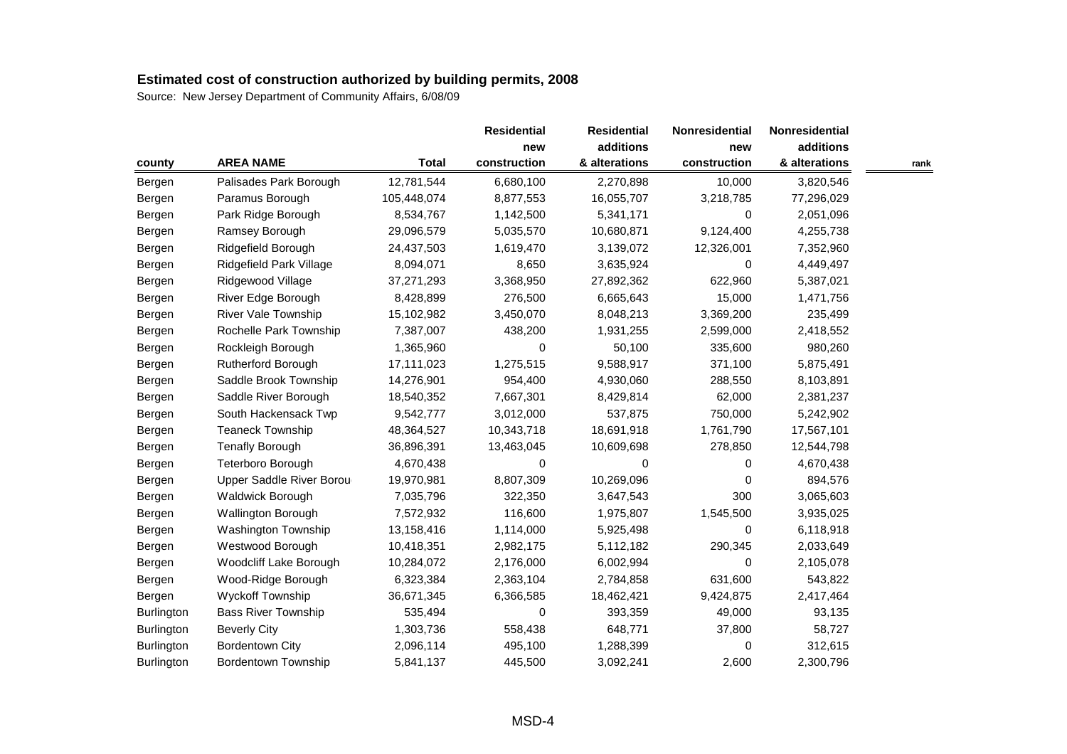|            |                            |              | <b>Residential</b> | <b>Residential</b> | Nonresidential | Nonresidential |      |
|------------|----------------------------|--------------|--------------------|--------------------|----------------|----------------|------|
|            |                            |              | new                | additions          | new            | additions      |      |
| county     | <b>AREA NAME</b>           | <b>Total</b> | construction       | & alterations      | construction   | & alterations  | rank |
| Bergen     | Palisades Park Borough     | 12,781,544   | 6,680,100          | 2,270,898          | 10,000         | 3,820,546      |      |
| Bergen     | Paramus Borough            | 105,448,074  | 8,877,553          | 16,055,707         | 3,218,785      | 77,296,029     |      |
| Bergen     | Park Ridge Borough         | 8,534,767    | 1,142,500          | 5,341,171          | 0              | 2,051,096      |      |
| Bergen     | Ramsey Borough             | 29,096,579   | 5,035,570          | 10,680,871         | 9,124,400      | 4,255,738      |      |
| Bergen     | Ridgefield Borough         | 24,437,503   | 1,619,470          | 3,139,072          | 12,326,001     | 7,352,960      |      |
| Bergen     | Ridgefield Park Village    | 8,094,071    | 8,650              | 3,635,924          | 0              | 4,449,497      |      |
| Bergen     | Ridgewood Village          | 37,271,293   | 3,368,950          | 27,892,362         | 622,960        | 5,387,021      |      |
| Bergen     | River Edge Borough         | 8,428,899    | 276,500            | 6,665,643          | 15,000         | 1,471,756      |      |
| Bergen     | River Vale Township        | 15,102,982   | 3,450,070          | 8,048,213          | 3,369,200      | 235,499        |      |
| Bergen     | Rochelle Park Township     | 7,387,007    | 438,200            | 1,931,255          | 2,599,000      | 2,418,552      |      |
| Bergen     | Rockleigh Borough          | 1,365,960    | 0                  | 50,100             | 335,600        | 980,260        |      |
| Bergen     | Rutherford Borough         | 17,111,023   | 1,275,515          | 9,588,917          | 371,100        | 5,875,491      |      |
| Bergen     | Saddle Brook Township      | 14,276,901   | 954,400            | 4,930,060          | 288,550        | 8,103,891      |      |
| Bergen     | Saddle River Borough       | 18,540,352   | 7,667,301          | 8,429,814          | 62,000         | 2,381,237      |      |
| Bergen     | South Hackensack Twp       | 9,542,777    | 3,012,000          | 537,875            | 750,000        | 5,242,902      |      |
| Bergen     | <b>Teaneck Township</b>    | 48,364,527   | 10,343,718         | 18,691,918         | 1,761,790      | 17,567,101     |      |
| Bergen     | <b>Tenafly Borough</b>     | 36,896,391   | 13,463,045         | 10,609,698         | 278,850        | 12,544,798     |      |
| Bergen     | Teterboro Borough          | 4,670,438    | 0                  | $\Omega$           | 0              | 4,670,438      |      |
| Bergen     | Upper Saddle River Borou   | 19,970,981   | 8,807,309          | 10,269,096         | 0              | 894,576        |      |
| Bergen     | Waldwick Borough           | 7,035,796    | 322,350            | 3,647,543          | 300            | 3,065,603      |      |
| Bergen     | <b>Wallington Borough</b>  | 7,572,932    | 116,600            | 1,975,807          | 1,545,500      | 3,935,025      |      |
| Bergen     | Washington Township        | 13,158,416   | 1,114,000          | 5,925,498          | 0              | 6,118,918      |      |
| Bergen     | Westwood Borough           | 10,418,351   | 2,982,175          | 5,112,182          | 290,345        | 2,033,649      |      |
| Bergen     | Woodcliff Lake Borough     | 10,284,072   | 2,176,000          | 6,002,994          | 0              | 2,105,078      |      |
| Bergen     | Wood-Ridge Borough         | 6,323,384    | 2,363,104          | 2,784,858          | 631,600        | 543,822        |      |
| Bergen     | <b>Wyckoff Township</b>    | 36,671,345   | 6,366,585          | 18,462,421         | 9,424,875      | 2,417,464      |      |
| Burlington | <b>Bass River Township</b> | 535,494      | 0                  | 393,359            | 49,000         | 93,135         |      |
| Burlington | <b>Beverly City</b>        | 1,303,736    | 558,438            | 648,771            | 37,800         | 58,727         |      |
| Burlington | <b>Bordentown City</b>     | 2,096,114    | 495,100            | 1,288,399          | 0              | 312,615        |      |
| Burlington | <b>Bordentown Township</b> | 5,841,137    | 445,500            | 3,092,241          | 2,600          | 2,300,796      |      |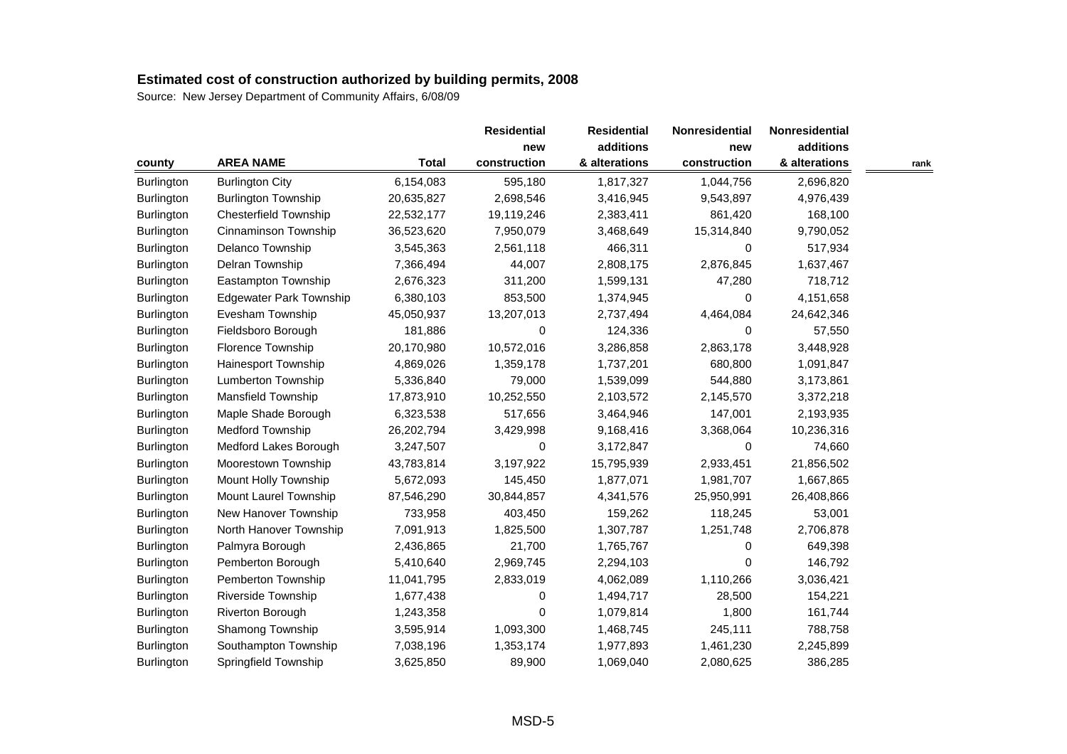|                   |                                |              | <b>Residential</b> | <b>Residential</b> | Nonresidential | Nonresidential |      |
|-------------------|--------------------------------|--------------|--------------------|--------------------|----------------|----------------|------|
|                   |                                |              | new                | additions          | new            | additions      |      |
| county            | <b>AREA NAME</b>               | <b>Total</b> | construction       | & alterations      | construction   | & alterations  | rank |
| Burlington        | <b>Burlington City</b>         | 6,154,083    | 595,180            | 1,817,327          | 1,044,756      | 2,696,820      |      |
| Burlington        | <b>Burlington Township</b>     | 20,635,827   | 2,698,546          | 3,416,945          | 9,543,897      | 4,976,439      |      |
| Burlington        | <b>Chesterfield Township</b>   | 22,532,177   | 19,119,246         | 2,383,411          | 861,420        | 168,100        |      |
| Burlington        | Cinnaminson Township           | 36,523,620   | 7,950,079          | 3,468,649          | 15,314,840     | 9,790,052      |      |
| Burlington        | Delanco Township               | 3,545,363    | 2,561,118          | 466,311            | 0              | 517,934        |      |
| Burlington        | Delran Township                | 7,366,494    | 44,007             | 2,808,175          | 2,876,845      | 1,637,467      |      |
| Burlington        | Eastampton Township            | 2,676,323    | 311,200            | 1,599,131          | 47,280         | 718,712        |      |
| Burlington        | <b>Edgewater Park Township</b> | 6,380,103    | 853,500            | 1,374,945          | 0              | 4,151,658      |      |
| Burlington        | Evesham Township               | 45,050,937   | 13,207,013         | 2,737,494          | 4,464,084      | 24,642,346     |      |
| <b>Burlington</b> | Fieldsboro Borough             | 181,886      | 0                  | 124,336            | $\Omega$       | 57,550         |      |
| Burlington        | Florence Township              | 20,170,980   | 10,572,016         | 3,286,858          | 2,863,178      | 3,448,928      |      |
| Burlington        | Hainesport Township            | 4,869,026    | 1,359,178          | 1,737,201          | 680,800        | 1,091,847      |      |
| Burlington        | Lumberton Township             | 5,336,840    | 79,000             | 1,539,099          | 544,880        | 3,173,861      |      |
| Burlington        | Mansfield Township             | 17,873,910   | 10,252,550         | 2,103,572          | 2,145,570      | 3,372,218      |      |
| Burlington        | Maple Shade Borough            | 6,323,538    | 517,656            | 3,464,946          | 147,001        | 2,193,935      |      |
| Burlington        | <b>Medford Township</b>        | 26,202,794   | 3,429,998          | 9,168,416          | 3,368,064      | 10,236,316     |      |
| Burlington        | Medford Lakes Borough          | 3,247,507    | 0                  | 3,172,847          | 0              | 74,660         |      |
| Burlington        | Moorestown Township            | 43,783,814   | 3,197,922          | 15,795,939         | 2,933,451      | 21,856,502     |      |
| Burlington        | Mount Holly Township           | 5,672,093    | 145,450            | 1,877,071          | 1,981,707      | 1,667,865      |      |
| Burlington        | Mount Laurel Township          | 87,546,290   | 30,844,857         | 4,341,576          | 25,950,991     | 26,408,866     |      |
| Burlington        | New Hanover Township           | 733,958      | 403,450            | 159,262            | 118,245        | 53,001         |      |
| Burlington        | North Hanover Township         | 7,091,913    | 1,825,500          | 1,307,787          | 1,251,748      | 2,706,878      |      |
| <b>Burlington</b> | Palmyra Borough                | 2,436,865    | 21,700             | 1,765,767          | 0              | 649,398        |      |
| Burlington        | Pemberton Borough              | 5,410,640    | 2,969,745          | 2,294,103          | 0              | 146,792        |      |
| Burlington        | Pemberton Township             | 11,041,795   | 2,833,019          | 4,062,089          | 1,110,266      | 3,036,421      |      |
| Burlington        | Riverside Township             | 1,677,438    | 0                  | 1,494,717          | 28,500         | 154,221        |      |
| Burlington        | Riverton Borough               | 1,243,358    | 0                  | 1,079,814          | 1,800          | 161,744        |      |
| Burlington        | Shamong Township               | 3,595,914    | 1,093,300          | 1,468,745          | 245,111        | 788,758        |      |
| Burlington        | Southampton Township           | 7,038,196    | 1,353,174          | 1,977,893          | 1,461,230      | 2,245,899      |      |
| Burlington        | Springfield Township           | 3,625,850    | 89,900             | 1,069,040          | 2,080,625      | 386,285        |      |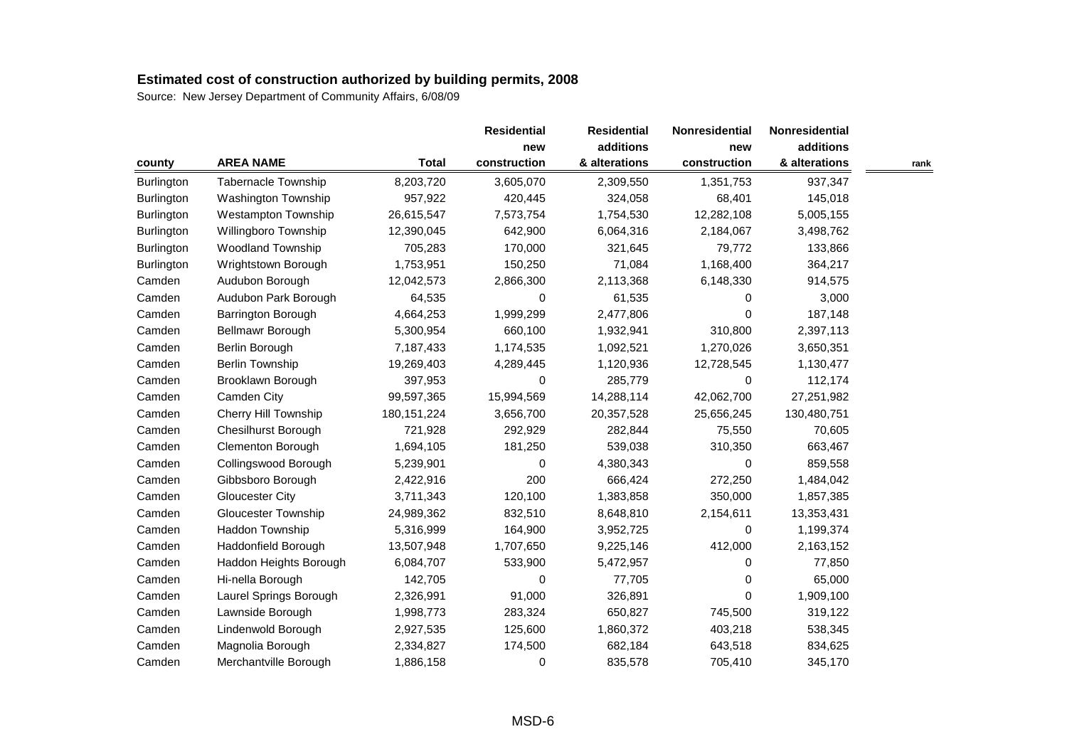|            |                            |               | <b>Residential</b> | <b>Residential</b> | Nonresidential | Nonresidential |      |
|------------|----------------------------|---------------|--------------------|--------------------|----------------|----------------|------|
|            |                            |               | new                | additions          | new            | additions      |      |
| county     | <b>AREA NAME</b>           | <b>Total</b>  | construction       | & alterations      | construction   | & alterations  | rank |
| Burlington | Tabernacle Township        | 8,203,720     | 3,605,070          | 2,309,550          | 1,351,753      | 937,347        |      |
| Burlington | Washington Township        | 957,922       | 420,445            | 324,058            | 68,401         | 145,018        |      |
| Burlington | <b>Westampton Township</b> | 26,615,547    | 7,573,754          | 1,754,530          | 12,282,108     | 5,005,155      |      |
| Burlington | Willingboro Township       | 12,390,045    | 642,900            | 6,064,316          | 2,184,067      | 3,498,762      |      |
| Burlington | <b>Woodland Township</b>   | 705,283       | 170,000            | 321,645            | 79,772         | 133,866        |      |
| Burlington | Wrightstown Borough        | 1,753,951     | 150,250            | 71,084             | 1,168,400      | 364,217        |      |
| Camden     | Audubon Borough            | 12,042,573    | 2,866,300          | 2,113,368          | 6,148,330      | 914,575        |      |
| Camden     | Audubon Park Borough       | 64,535        | 0                  | 61,535             | 0              | 3,000          |      |
| Camden     | Barrington Borough         | 4,664,253     | 1,999,299          | 2,477,806          | 0              | 187,148        |      |
| Camden     | Bellmawr Borough           | 5,300,954     | 660,100            | 1,932,941          | 310,800        | 2,397,113      |      |
| Camden     | Berlin Borough             | 7,187,433     | 1,174,535          | 1,092,521          | 1,270,026      | 3,650,351      |      |
| Camden     | <b>Berlin Township</b>     | 19,269,403    | 4,289,445          | 1,120,936          | 12,728,545     | 1,130,477      |      |
| Camden     | Brooklawn Borough          | 397,953       | 0                  | 285,779            | 0              | 112,174        |      |
| Camden     | Camden City                | 99,597,365    | 15,994,569         | 14,288,114         | 42,062,700     | 27,251,982     |      |
| Camden     | Cherry Hill Township       | 180, 151, 224 | 3,656,700          | 20,357,528         | 25,656,245     | 130,480,751    |      |
| Camden     | <b>Chesilhurst Borough</b> | 721,928       | 292,929            | 282,844            | 75,550         | 70,605         |      |
| Camden     | Clementon Borough          | 1,694,105     | 181,250            | 539,038            | 310,350        | 663,467        |      |
| Camden     | Collingswood Borough       | 5,239,901     | 0                  | 4,380,343          | 0              | 859,558        |      |
| Camden     | Gibbsboro Borough          | 2,422,916     | 200                | 666,424            | 272,250        | 1,484,042      |      |
| Camden     | <b>Gloucester City</b>     | 3,711,343     | 120,100            | 1,383,858          | 350,000        | 1,857,385      |      |
| Camden     | <b>Gloucester Township</b> | 24,989,362    | 832,510            | 8,648,810          | 2,154,611      | 13,353,431     |      |
| Camden     | <b>Haddon Township</b>     | 5,316,999     | 164,900            | 3,952,725          | 0              | 1,199,374      |      |
| Camden     | Haddonfield Borough        | 13,507,948    | 1,707,650          | 9,225,146          | 412,000        | 2,163,152      |      |
| Camden     | Haddon Heights Borough     | 6,084,707     | 533,900            | 5,472,957          | 0              | 77,850         |      |
| Camden     | Hi-nella Borough           | 142,705       | 0                  | 77,705             | 0              | 65,000         |      |
| Camden     | Laurel Springs Borough     | 2,326,991     | 91,000             | 326,891            | 0              | 1,909,100      |      |
| Camden     | Lawnside Borough           | 1,998,773     | 283,324            | 650,827            | 745,500        | 319,122        |      |
| Camden     | Lindenwold Borough         | 2,927,535     | 125,600            | 1,860,372          | 403,218        | 538,345        |      |
| Camden     | Magnolia Borough           | 2,334,827     | 174,500            | 682,184            | 643,518        | 834,625        |      |
| Camden     | Merchantville Borough      | 1,886,158     | 0                  | 835,578            | 705,410        | 345,170        |      |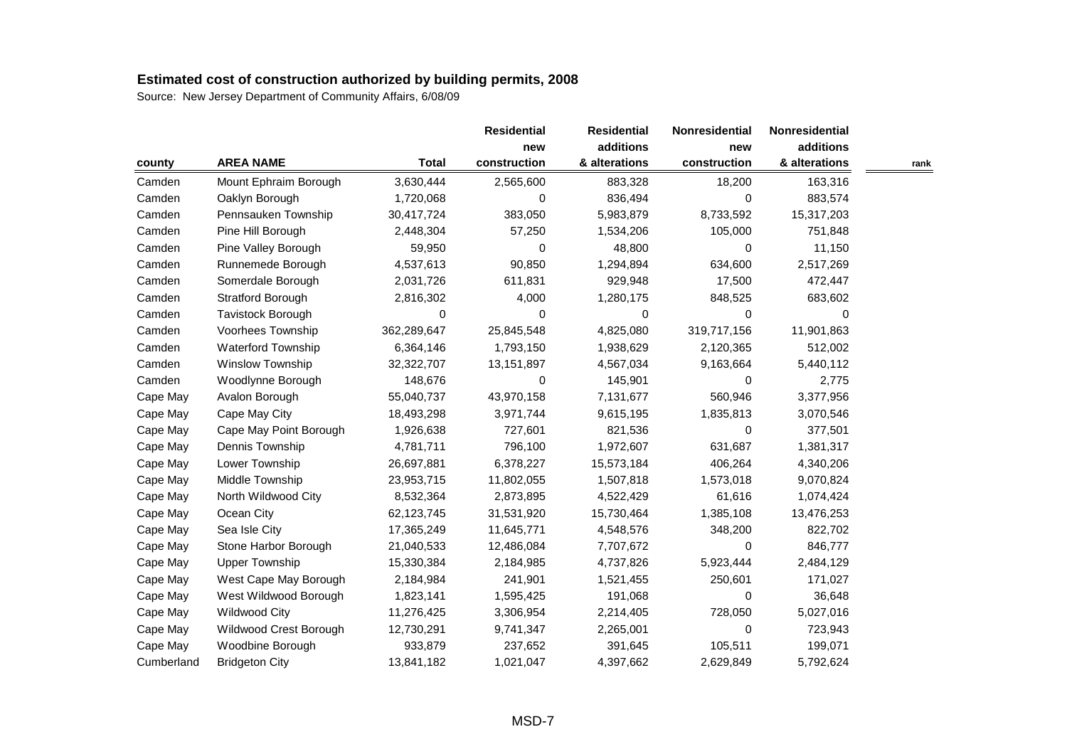|            |                        |              | <b>Residential</b> | <b>Residential</b> | Nonresidential | Nonresidential |      |
|------------|------------------------|--------------|--------------------|--------------------|----------------|----------------|------|
|            |                        |              | new                | additions          | new            | additions      |      |
| county     | <b>AREA NAME</b>       | <b>Total</b> | construction       | & alterations      | construction   | & alterations  | rank |
| Camden     | Mount Ephraim Borough  | 3,630,444    | 2,565,600          | 883,328            | 18,200         | 163,316        |      |
| Camden     | Oaklyn Borough         | 1,720,068    | 0                  | 836,494            | 0              | 883,574        |      |
| Camden     | Pennsauken Township    | 30,417,724   | 383,050            | 5,983,879          | 8,733,592      | 15,317,203     |      |
| Camden     | Pine Hill Borough      | 2,448,304    | 57,250             | 1,534,206          | 105,000        | 751,848        |      |
| Camden     | Pine Valley Borough    | 59,950       | 0                  | 48,800             | 0              | 11,150         |      |
| Camden     | Runnemede Borough      | 4,537,613    | 90,850             | 1,294,894          | 634,600        | 2,517,269      |      |
| Camden     | Somerdale Borough      | 2,031,726    | 611,831            | 929,948            | 17,500         | 472,447        |      |
| Camden     | Stratford Borough      | 2,816,302    | 4,000              | 1,280,175          | 848,525        | 683,602        |      |
| Camden     | Tavistock Borough      | 0            | 0                  | 0                  | 0              | 0              |      |
| Camden     | Voorhees Township      | 362,289,647  | 25,845,548         | 4,825,080          | 319,717,156    | 11,901,863     |      |
| Camden     | Waterford Township     | 6,364,146    | 1,793,150          | 1,938,629          | 2,120,365      | 512,002        |      |
| Camden     | Winslow Township       | 32,322,707   | 13,151,897         | 4,567,034          | 9,163,664      | 5,440,112      |      |
| Camden     | Woodlynne Borough      | 148,676      | 0                  | 145,901            | 0              | 2,775          |      |
| Cape May   | Avalon Borough         | 55,040,737   | 43,970,158         | 7,131,677          | 560,946        | 3,377,956      |      |
| Cape May   | Cape May City          | 18,493,298   | 3,971,744          | 9,615,195          | 1,835,813      | 3,070,546      |      |
| Cape May   | Cape May Point Borough | 1,926,638    | 727,601            | 821,536            | 0              | 377,501        |      |
| Cape May   | Dennis Township        | 4,781,711    | 796,100            | 1,972,607          | 631,687        | 1,381,317      |      |
| Cape May   | Lower Township         | 26,697,881   | 6,378,227          | 15,573,184         | 406,264        | 4,340,206      |      |
| Cape May   | Middle Township        | 23,953,715   | 11,802,055         | 1,507,818          | 1,573,018      | 9,070,824      |      |
| Cape May   | North Wildwood City    | 8,532,364    | 2,873,895          | 4,522,429          | 61,616         | 1,074,424      |      |
| Cape May   | Ocean City             | 62,123,745   | 31,531,920         | 15,730,464         | 1,385,108      | 13,476,253     |      |
| Cape May   | Sea Isle City          | 17,365,249   | 11,645,771         | 4,548,576          | 348,200        | 822,702        |      |
| Cape May   | Stone Harbor Borough   | 21,040,533   | 12,486,084         | 7,707,672          | 0              | 846,777        |      |
| Cape May   | <b>Upper Township</b>  | 15,330,384   | 2,184,985          | 4,737,826          | 5,923,444      | 2,484,129      |      |
| Cape May   | West Cape May Borough  | 2,184,984    | 241,901            | 1,521,455          | 250,601        | 171,027        |      |
| Cape May   | West Wildwood Borough  | 1,823,141    | 1,595,425          | 191,068            | 0              | 36,648         |      |
| Cape May   | <b>Wildwood City</b>   | 11,276,425   | 3,306,954          | 2,214,405          | 728,050        | 5,027,016      |      |
| Cape May   | Wildwood Crest Borough | 12,730,291   | 9,741,347          | 2,265,001          | 0              | 723,943        |      |
| Cape May   | Woodbine Borough       | 933,879      | 237,652            | 391,645            | 105,511        | 199,071        |      |
| Cumberland | <b>Bridgeton City</b>  | 13,841,182   | 1,021,047          | 4,397,662          | 2,629,849      | 5,792,624      |      |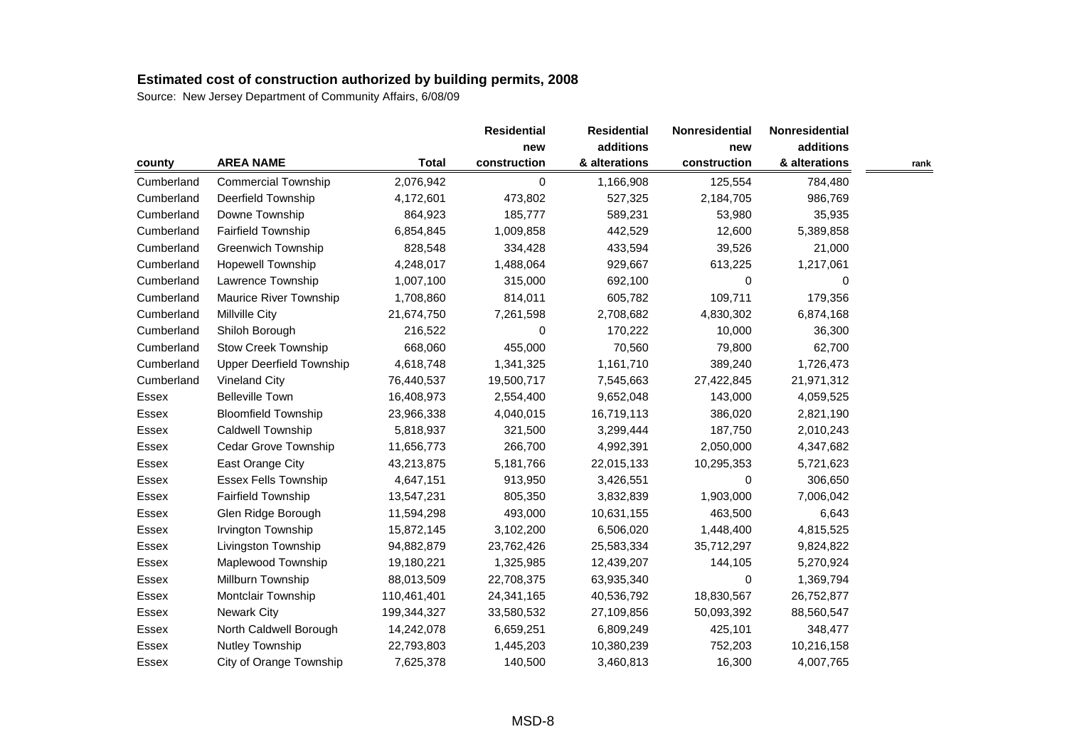|              |                                 |              | <b>Residential</b> | <b>Residential</b> | Nonresidential | Nonresidential |      |
|--------------|---------------------------------|--------------|--------------------|--------------------|----------------|----------------|------|
|              |                                 |              | new                | additions          | new            | additions      |      |
| county       | <b>AREA NAME</b>                | <b>Total</b> | construction       | & alterations      | construction   | & alterations  | rank |
| Cumberland   | <b>Commercial Township</b>      | 2,076,942    | 0                  | 1,166,908          | 125,554        | 784,480        |      |
| Cumberland   | Deerfield Township              | 4,172,601    | 473,802            | 527,325            | 2,184,705      | 986,769        |      |
| Cumberland   | Downe Township                  | 864,923      | 185,777            | 589,231            | 53,980         | 35,935         |      |
| Cumberland   | Fairfield Township              | 6,854,845    | 1,009,858          | 442,529            | 12,600         | 5,389,858      |      |
| Cumberland   | <b>Greenwich Township</b>       | 828,548      | 334,428            | 433,594            | 39,526         | 21,000         |      |
| Cumberland   | <b>Hopewell Township</b>        | 4,248,017    | 1,488,064          | 929,667            | 613,225        | 1,217,061      |      |
| Cumberland   | Lawrence Township               | 1,007,100    | 315,000            | 692,100            | 0              | 0              |      |
| Cumberland   | <b>Maurice River Township</b>   | 1,708,860    | 814,011            | 605,782            | 109,711        | 179,356        |      |
| Cumberland   | <b>Millville City</b>           | 21,674,750   | 7,261,598          | 2,708,682          | 4,830,302      | 6,874,168      |      |
| Cumberland   | Shiloh Borough                  | 216,522      | 0                  | 170,222            | 10,000         | 36,300         |      |
| Cumberland   | Stow Creek Township             | 668,060      | 455,000            | 70,560             | 79,800         | 62,700         |      |
| Cumberland   | <b>Upper Deerfield Township</b> | 4,618,748    | 1,341,325          | 1,161,710          | 389,240        | 1,726,473      |      |
| Cumberland   | Vineland City                   | 76,440,537   | 19,500,717         | 7,545,663          | 27,422,845     | 21,971,312     |      |
| Essex        | <b>Belleville Town</b>          | 16,408,973   | 2,554,400          | 9,652,048          | 143,000        | 4,059,525      |      |
| Essex        | <b>Bloomfield Township</b>      | 23,966,338   | 4,040,015          | 16,719,113         | 386,020        | 2,821,190      |      |
| Essex        | Caldwell Township               | 5,818,937    | 321,500            | 3,299,444          | 187,750        | 2,010,243      |      |
| Essex        | Cedar Grove Township            | 11,656,773   | 266,700            | 4,992,391          | 2,050,000      | 4,347,682      |      |
| Essex        | East Orange City                | 43,213,875   | 5,181,766          | 22,015,133         | 10,295,353     | 5,721,623      |      |
| Essex        | <b>Essex Fells Township</b>     | 4,647,151    | 913,950            | 3,426,551          | 0              | 306,650        |      |
| Essex        | <b>Fairfield Township</b>       | 13,547,231   | 805,350            | 3,832,839          | 1,903,000      | 7,006,042      |      |
| Essex        | Glen Ridge Borough              | 11,594,298   | 493,000            | 10,631,155         | 463,500        | 6,643          |      |
| Essex        | Irvington Township              | 15,872,145   | 3,102,200          | 6,506,020          | 1,448,400      | 4,815,525      |      |
| Essex        | Livingston Township             | 94,882,879   | 23,762,426         | 25,583,334         | 35,712,297     | 9,824,822      |      |
| Essex        | Maplewood Township              | 19,180,221   | 1,325,985          | 12,439,207         | 144,105        | 5,270,924      |      |
| Essex        | Millburn Township               | 88,013,509   | 22,708,375         | 63,935,340         | 0              | 1,369,794      |      |
| Essex        | Montclair Township              | 110,461,401  | 24,341,165         | 40,536,792         | 18,830,567     | 26,752,877     |      |
| Essex        | <b>Newark City</b>              | 199,344,327  | 33,580,532         | 27,109,856         | 50,093,392     | 88,560,547     |      |
| Essex        | North Caldwell Borough          | 14,242,078   | 6,659,251          | 6,809,249          | 425,101        | 348,477        |      |
| <b>Essex</b> | Nutley Township                 | 22,793,803   | 1,445,203          | 10,380,239         | 752,203        | 10,216,158     |      |
| Essex        | City of Orange Township         | 7,625,378    | 140,500            | 3,460,813          | 16,300         | 4,007,765      |      |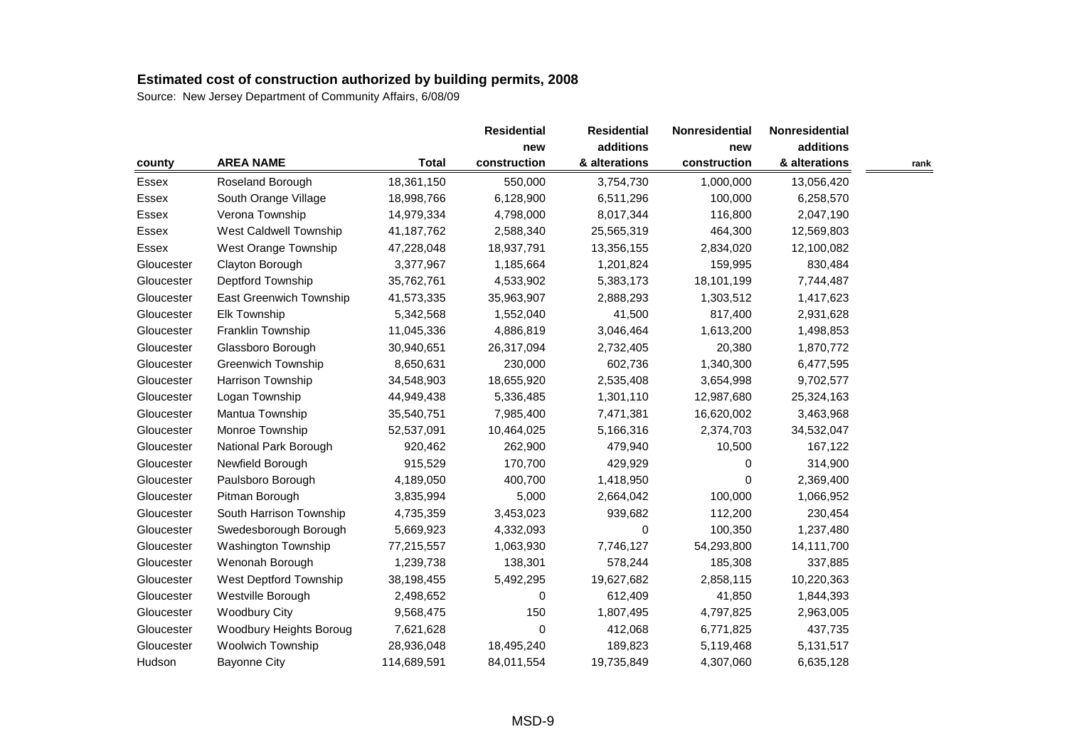|              |                           |              | <b>Residential</b> | <b>Residential</b> | <b>Nonresidential</b> | <b>Nonresidential</b> |      |
|--------------|---------------------------|--------------|--------------------|--------------------|-----------------------|-----------------------|------|
|              |                           |              | new                | additions          | new                   | additions             |      |
| county       | <b>AREA NAME</b>          | <b>Total</b> | construction       | & alterations      | construction          | & alterations         | rank |
| Essex        | Roseland Borough          | 18,361,150   | 550,000            | 3,754,730          | 1,000,000             | 13,056,420            |      |
| Essex        | South Orange Village      | 18,998,766   | 6,128,900          | 6,511,296          | 100,000               | 6,258,570             |      |
| <b>Essex</b> | Verona Township           | 14,979,334   | 4,798,000          | 8,017,344          | 116,800               | 2,047,190             |      |
| Essex        | West Caldwell Township    | 41,187,762   | 2,588,340          | 25,565,319         | 464,300               | 12,569,803            |      |
| Essex        | West Orange Township      | 47,228,048   | 18,937,791         | 13,356,155         | 2,834,020             | 12,100,082            |      |
| Gloucester   | Clayton Borough           | 3,377,967    | 1,185,664          | 1,201,824          | 159,995               | 830,484               |      |
| Gloucester   | Deptford Township         | 35,762,761   | 4,533,902          | 5,383,173          | 18,101,199            | 7,744,487             |      |
| Gloucester   | East Greenwich Township   | 41,573,335   | 35,963,907         | 2,888,293          | 1,303,512             | 1,417,623             |      |
| Gloucester   | <b>Elk Township</b>       | 5,342,568    | 1,552,040          | 41,500             | 817,400               | 2,931,628             |      |
| Gloucester   | Franklin Township         | 11,045,336   | 4,886,819          | 3,046,464          | 1,613,200             | 1,498,853             |      |
| Gloucester   | Glassboro Borough         | 30,940,651   | 26,317,094         | 2,732,405          | 20,380                | 1,870,772             |      |
| Gloucester   | <b>Greenwich Township</b> | 8,650,631    | 230,000            | 602,736            | 1,340,300             | 6,477,595             |      |
| Gloucester   | Harrison Township         | 34,548,903   | 18,655,920         | 2,535,408          | 3,654,998             | 9,702,577             |      |
| Gloucester   | Logan Township            | 44,949,438   | 5,336,485          | 1,301,110          | 12,987,680            | 25,324,163            |      |
| Gloucester   | Mantua Township           | 35,540,751   | 7,985,400          | 7,471,381          | 16,620,002            | 3,463,968             |      |
| Gloucester   | Monroe Township           | 52,537,091   | 10,464,025         | 5,166,316          | 2,374,703             | 34,532,047            |      |
| Gloucester   | National Park Borough     | 920,462      | 262,900            | 479,940            | 10,500                | 167,122               |      |
| Gloucester   | Newfield Borough          | 915,529      | 170,700            | 429,929            | 0                     | 314,900               |      |
| Gloucester   | Paulsboro Borough         | 4,189,050    | 400,700            | 1,418,950          | 0                     | 2,369,400             |      |
| Gloucester   | Pitman Borough            | 3,835,994    | 5,000              | 2,664,042          | 100,000               | 1,066,952             |      |
| Gloucester   | South Harrison Township   | 4,735,359    | 3,453,023          | 939,682            | 112,200               | 230,454               |      |
| Gloucester   | Swedesborough Borough     | 5,669,923    | 4,332,093          | 0                  | 100,350               | 1,237,480             |      |
| Gloucester   | Washington Township       | 77,215,557   | 1,063,930          | 7,746,127          | 54,293,800            | 14,111,700            |      |
| Gloucester   | Wenonah Borough           | 1,239,738    | 138,301            | 578,244            | 185,308               | 337,885               |      |
| Gloucester   | West Deptford Township    | 38,198,455   | 5,492,295          | 19,627,682         | 2,858,115             | 10,220,363            |      |
| Gloucester   | Westville Borough         | 2,498,652    | 0                  | 612,409            | 41,850                | 1,844,393             |      |
| Gloucester   | <b>Woodbury City</b>      | 9,568,475    | 150                | 1,807,495          | 4,797,825             | 2,963,005             |      |
| Gloucester   | Woodbury Heights Boroug   | 7,621,628    | 0                  | 412,068            | 6,771,825             | 437,735               |      |
| Gloucester   | <b>Woolwich Township</b>  | 28,936,048   | 18,495,240         | 189,823            | 5,119,468             | 5,131,517             |      |
| Hudson       | <b>Bayonne City</b>       | 114,689,591  | 84,011,554         | 19,735,849         | 4,307,060             | 6,635,128             |      |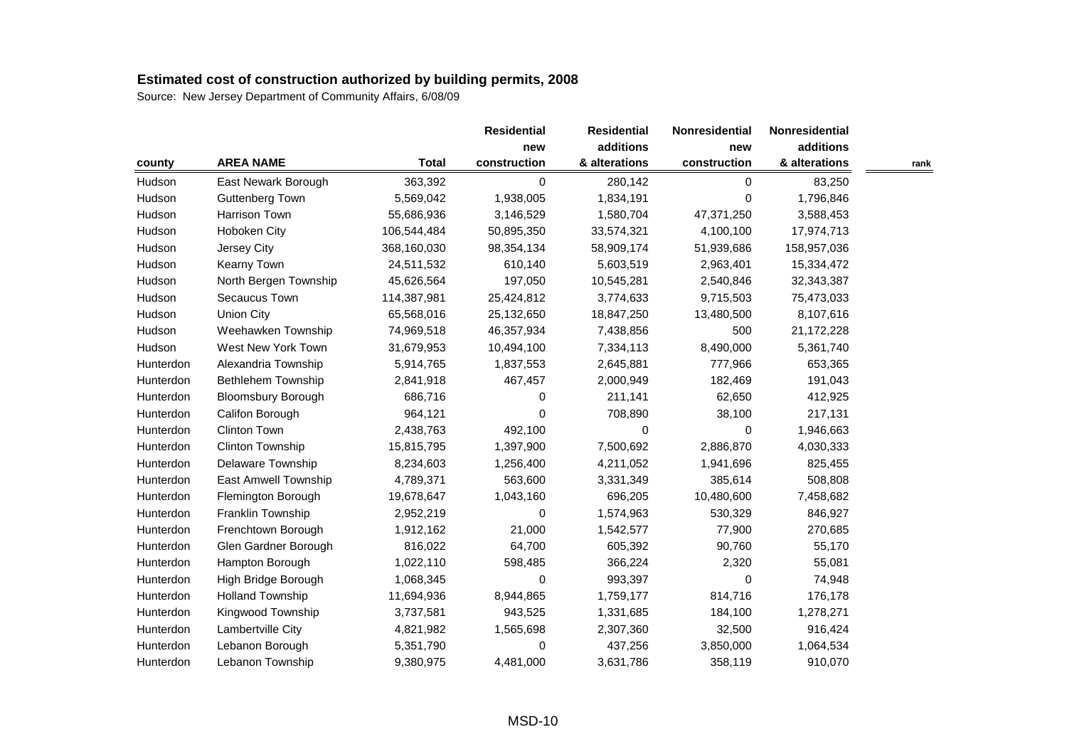|           |                           |              | <b>Residential</b> | <b>Residential</b> | Nonresidential | Nonresidential |      |
|-----------|---------------------------|--------------|--------------------|--------------------|----------------|----------------|------|
|           |                           |              | new                | additions          | new            | additions      |      |
| county    | <b>AREA NAME</b>          | <b>Total</b> | construction       | & alterations      | construction   | & alterations  | rank |
| Hudson    | East Newark Borough       | 363,392      | 0                  | 280,142            | 0              | 83,250         |      |
| Hudson    | Guttenberg Town           | 5,569,042    | 1,938,005          | 1,834,191          | 0              | 1,796,846      |      |
| Hudson    | Harrison Town             | 55,686,936   | 3,146,529          | 1,580,704          | 47,371,250     | 3,588,453      |      |
| Hudson    | Hoboken City              | 106,544,484  | 50,895,350         | 33,574,321         | 4,100,100      | 17,974,713     |      |
| Hudson    | Jersey City               | 368,160,030  | 98,354,134         | 58,909,174         | 51,939,686     | 158,957,036    |      |
| Hudson    | Kearny Town               | 24,511,532   | 610,140            | 5,603,519          | 2,963,401      | 15,334,472     |      |
| Hudson    | North Bergen Township     | 45,626,564   | 197,050            | 10,545,281         | 2,540,846      | 32,343,387     |      |
| Hudson    | Secaucus Town             | 114,387,981  | 25,424,812         | 3,774,633          | 9,715,503      | 75,473,033     |      |
| Hudson    | <b>Union City</b>         | 65,568,016   | 25,132,650         | 18,847,250         | 13,480,500     | 8,107,616      |      |
| Hudson    | Weehawken Township        | 74,969,518   | 46,357,934         | 7,438,856          | 500            | 21,172,228     |      |
| Hudson    | West New York Town        | 31,679,953   | 10,494,100         | 7,334,113          | 8,490,000      | 5,361,740      |      |
| Hunterdon | Alexandria Township       | 5,914,765    | 1,837,553          | 2,645,881          | 777,966        | 653,365        |      |
| Hunterdon | Bethlehem Township        | 2,841,918    | 467,457            | 2,000,949          | 182,469        | 191,043        |      |
| Hunterdon | <b>Bloomsbury Borough</b> | 686,716      | 0                  | 211,141            | 62,650         | 412,925        |      |
| Hunterdon | Califon Borough           | 964,121      | 0                  | 708,890            | 38,100         | 217,131        |      |
| Hunterdon | Clinton Town              | 2,438,763    | 492,100            | 0                  | 0              | 1,946,663      |      |
| Hunterdon | Clinton Township          | 15,815,795   | 1,397,900          | 7,500,692          | 2,886,870      | 4,030,333      |      |
| Hunterdon | Delaware Township         | 8,234,603    | 1,256,400          | 4,211,052          | 1,941,696      | 825,455        |      |
| Hunterdon | East Amwell Township      | 4,789,371    | 563,600            | 3,331,349          | 385,614        | 508,808        |      |
| Hunterdon | Flemington Borough        | 19,678,647   | 1,043,160          | 696,205            | 10,480,600     | 7,458,682      |      |
| Hunterdon | Franklin Township         | 2,952,219    | 0                  | 1,574,963          | 530,329        | 846,927        |      |
| Hunterdon | Frenchtown Borough        | 1,912,162    | 21,000             | 1,542,577          | 77,900         | 270,685        |      |
| Hunterdon | Glen Gardner Borough      | 816,022      | 64,700             | 605,392            | 90,760         | 55,170         |      |
| Hunterdon | Hampton Borough           | 1,022,110    | 598,485            | 366,224            | 2,320          | 55,081         |      |
| Hunterdon | High Bridge Borough       | 1,068,345    | 0                  | 993,397            | 0              | 74,948         |      |
| Hunterdon | <b>Holland Township</b>   | 11,694,936   | 8,944,865          | 1,759,177          | 814,716        | 176,178        |      |
| Hunterdon | Kingwood Township         | 3,737,581    | 943,525            | 1,331,685          | 184,100        | 1,278,271      |      |
| Hunterdon | Lambertville City         | 4,821,982    | 1,565,698          | 2,307,360          | 32,500         | 916,424        |      |
| Hunterdon | Lebanon Borough           | 5,351,790    | 0                  | 437,256            | 3,850,000      | 1,064,534      |      |
| Hunterdon | Lebanon Township          | 9,380,975    | 4,481,000          | 3,631,786          | 358,119        | 910,070        |      |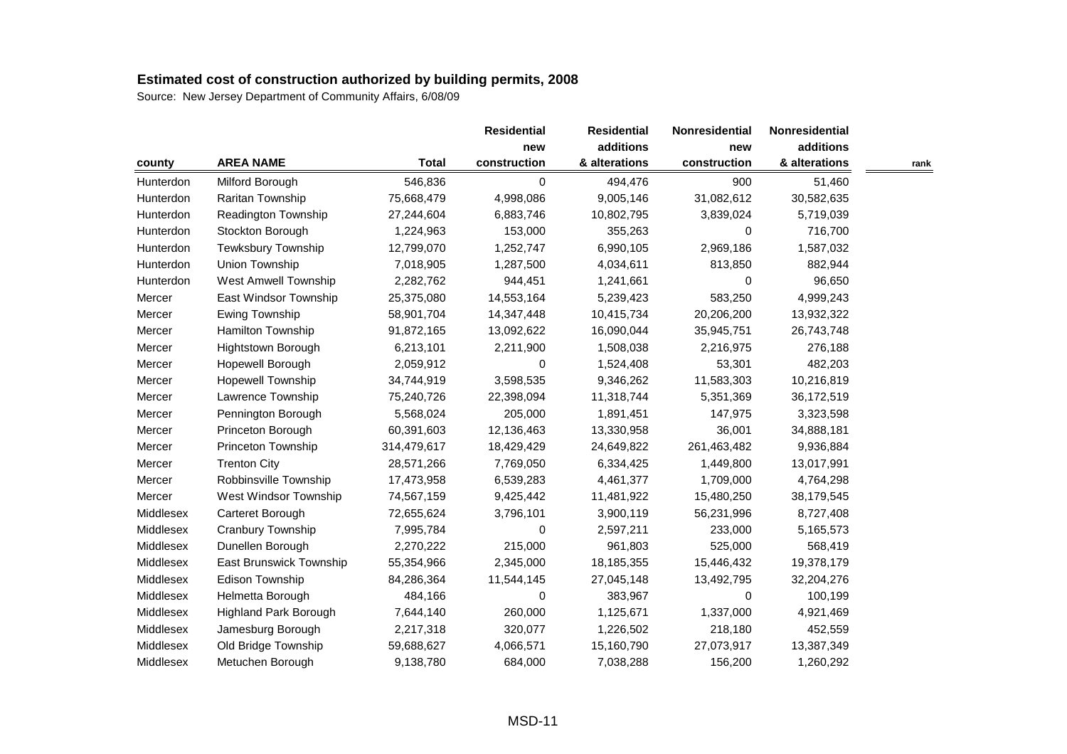|           |                              |              | <b>Residential</b> | <b>Residential</b> | <b>Nonresidential</b> | <b>Nonresidential</b> |      |
|-----------|------------------------------|--------------|--------------------|--------------------|-----------------------|-----------------------|------|
|           |                              |              | new                | additions          | new                   | additions             |      |
| county    | <b>AREA NAME</b>             | <b>Total</b> | construction       | & alterations      | construction          | & alterations         | rank |
| Hunterdon | Milford Borough              | 546,836      | 0                  | 494,476            | 900                   | 51,460                |      |
| Hunterdon | Raritan Township             | 75,668,479   | 4,998,086          | 9,005,146          | 31,082,612            | 30,582,635            |      |
| Hunterdon | Readington Township          | 27,244,604   | 6,883,746          | 10,802,795         | 3,839,024             | 5,719,039             |      |
| Hunterdon | Stockton Borough             | 1,224,963    | 153,000            | 355,263            | 0                     | 716,700               |      |
| Hunterdon | Tewksbury Township           | 12,799,070   | 1,252,747          | 6,990,105          | 2,969,186             | 1,587,032             |      |
| Hunterdon | Union Township               | 7,018,905    | 1,287,500          | 4,034,611          | 813,850               | 882,944               |      |
| Hunterdon | <b>West Amwell Township</b>  | 2,282,762    | 944,451            | 1,241,661          | 0                     | 96,650                |      |
| Mercer    | East Windsor Township        | 25,375,080   | 14,553,164         | 5,239,423          | 583,250               | 4,999,243             |      |
| Mercer    | Ewing Township               | 58,901,704   | 14,347,448         | 10,415,734         | 20,206,200            | 13,932,322            |      |
| Mercer    | Hamilton Township            | 91,872,165   | 13,092,622         | 16,090,044         | 35,945,751            | 26,743,748            |      |
| Mercer    | Hightstown Borough           | 6,213,101    | 2,211,900          | 1,508,038          | 2,216,975             | 276,188               |      |
| Mercer    | Hopewell Borough             | 2,059,912    | 0                  | 1,524,408          | 53,301                | 482,203               |      |
| Mercer    | Hopewell Township            | 34,744,919   | 3,598,535          | 9,346,262          | 11,583,303            | 10,216,819            |      |
| Mercer    | Lawrence Township            | 75,240,726   | 22,398,094         | 11,318,744         | 5,351,369             | 36,172,519            |      |
| Mercer    | Pennington Borough           | 5,568,024    | 205,000            | 1,891,451          | 147,975               | 3,323,598             |      |
| Mercer    | Princeton Borough            | 60,391,603   | 12,136,463         | 13,330,958         | 36,001                | 34,888,181            |      |
| Mercer    | Princeton Township           | 314,479,617  | 18,429,429         | 24,649,822         | 261,463,482           | 9,936,884             |      |
| Mercer    | <b>Trenton City</b>          | 28,571,266   | 7,769,050          | 6,334,425          | 1,449,800             | 13,017,991            |      |
| Mercer    | Robbinsville Township        | 17,473,958   | 6,539,283          | 4,461,377          | 1,709,000             | 4,764,298             |      |
| Mercer    | West Windsor Township        | 74,567,159   | 9,425,442          | 11,481,922         | 15,480,250            | 38,179,545            |      |
| Middlesex | Carteret Borough             | 72,655,624   | 3,796,101          | 3,900,119          | 56,231,996            | 8,727,408             |      |
| Middlesex | Cranbury Township            | 7,995,784    | 0                  | 2,597,211          | 233,000               | 5,165,573             |      |
| Middlesex | Dunellen Borough             | 2,270,222    | 215,000            | 961,803            | 525,000               | 568,419               |      |
| Middlesex | East Brunswick Township      | 55,354,966   | 2,345,000          | 18,185,355         | 15,446,432            | 19,378,179            |      |
| Middlesex | Edison Township              | 84,286,364   | 11,544,145         | 27,045,148         | 13,492,795            | 32,204,276            |      |
| Middlesex | Helmetta Borough             | 484,166      | 0                  | 383,967            | 0                     | 100,199               |      |
| Middlesex | <b>Highland Park Borough</b> | 7,644,140    | 260,000            | 1,125,671          | 1,337,000             | 4,921,469             |      |
| Middlesex | Jamesburg Borough            | 2,217,318    | 320,077            | 1,226,502          | 218,180               | 452,559               |      |
| Middlesex | Old Bridge Township          | 59,688,627   | 4,066,571          | 15,160,790         | 27,073,917            | 13,387,349            |      |
| Middlesex | Metuchen Borough             | 9,138,780    | 684,000            | 7,038,288          | 156,200               | 1,260,292             |      |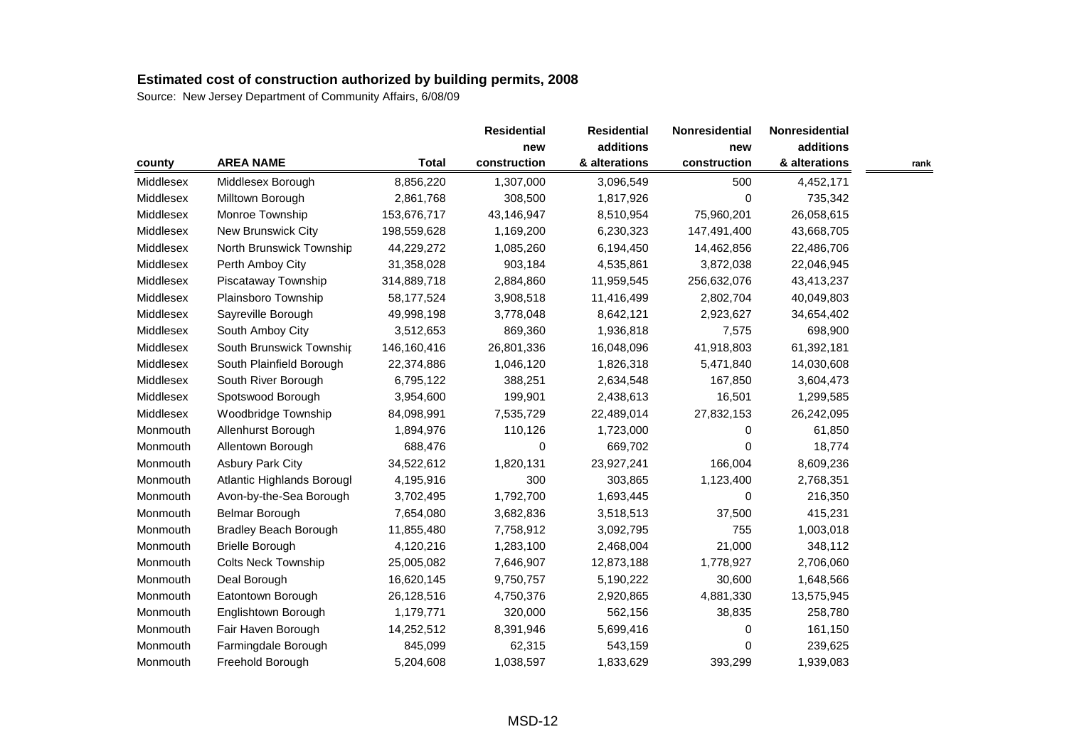|           |                              |              | <b>Residential</b> | <b>Residential</b> | Nonresidential | Nonresidential |      |
|-----------|------------------------------|--------------|--------------------|--------------------|----------------|----------------|------|
|           |                              |              | new                | additions          | new            | additions      |      |
| county    | <b>AREA NAME</b>             | <b>Total</b> | construction       | & alterations      | construction   | & alterations  | rank |
| Middlesex | Middlesex Borough            | 8,856,220    | 1,307,000          | 3,096,549          | 500            | 4,452,171      |      |
| Middlesex | Milltown Borough             | 2,861,768    | 308,500            | 1,817,926          | 0              | 735,342        |      |
| Middlesex | Monroe Township              | 153,676,717  | 43,146,947         | 8,510,954          | 75,960,201     | 26,058,615     |      |
| Middlesex | New Brunswick City           | 198,559,628  | 1,169,200          | 6,230,323          | 147,491,400    | 43,668,705     |      |
| Middlesex | North Brunswick Township     | 44,229,272   | 1,085,260          | 6,194,450          | 14,462,856     | 22,486,706     |      |
| Middlesex | Perth Amboy City             | 31,358,028   | 903,184            | 4,535,861          | 3,872,038      | 22,046,945     |      |
| Middlesex | Piscataway Township          | 314,889,718  | 2,884,860          | 11,959,545         | 256,632,076    | 43,413,237     |      |
| Middlesex | Plainsboro Township          | 58,177,524   | 3,908,518          | 11,416,499         | 2,802,704      | 40,049,803     |      |
| Middlesex | Sayreville Borough           | 49,998,198   | 3,778,048          | 8,642,121          | 2,923,627      | 34,654,402     |      |
| Middlesex | South Amboy City             | 3,512,653    | 869,360            | 1,936,818          | 7,575          | 698,900        |      |
| Middlesex | South Brunswick Township     | 146,160,416  | 26,801,336         | 16,048,096         | 41,918,803     | 61,392,181     |      |
| Middlesex | South Plainfield Borough     | 22,374,886   | 1,046,120          | 1,826,318          | 5,471,840      | 14,030,608     |      |
| Middlesex | South River Borough          | 6,795,122    | 388,251            | 2,634,548          | 167,850        | 3,604,473      |      |
| Middlesex | Spotswood Borough            | 3,954,600    | 199,901            | 2,438,613          | 16,501         | 1,299,585      |      |
| Middlesex | Woodbridge Township          | 84,098,991   | 7,535,729          | 22,489,014         | 27,832,153     | 26,242,095     |      |
| Monmouth  | Allenhurst Borough           | 1,894,976    | 110,126            | 1,723,000          | 0              | 61,850         |      |
| Monmouth  | Allentown Borough            | 688,476      | 0                  | 669,702            | 0              | 18,774         |      |
| Monmouth  | <b>Asbury Park City</b>      | 34,522,612   | 1,820,131          | 23,927,241         | 166,004        | 8,609,236      |      |
| Monmouth  | Atlantic Highlands Borougl   | 4,195,916    | 300                | 303,865            | 1,123,400      | 2,768,351      |      |
| Monmouth  | Avon-by-the-Sea Borough      | 3,702,495    | 1,792,700          | 1,693,445          | 0              | 216,350        |      |
| Monmouth  | Belmar Borough               | 7,654,080    | 3,682,836          | 3,518,513          | 37,500         | 415,231        |      |
| Monmouth  | <b>Bradley Beach Borough</b> | 11,855,480   | 7,758,912          | 3,092,795          | 755            | 1,003,018      |      |
| Monmouth  | <b>Brielle Borough</b>       | 4,120,216    | 1,283,100          | 2,468,004          | 21,000         | 348,112        |      |
| Monmouth  | <b>Colts Neck Township</b>   | 25,005,082   | 7,646,907          | 12,873,188         | 1,778,927      | 2,706,060      |      |
| Monmouth  | Deal Borough                 | 16,620,145   | 9,750,757          | 5,190,222          | 30,600         | 1,648,566      |      |
| Monmouth  | Eatontown Borough            | 26,128,516   | 4,750,376          | 2,920,865          | 4,881,330      | 13,575,945     |      |
| Monmouth  | Englishtown Borough          | 1,179,771    | 320,000            | 562,156            | 38,835         | 258,780        |      |
| Monmouth  | Fair Haven Borough           | 14,252,512   | 8,391,946          | 5,699,416          | 0              | 161,150        |      |
| Monmouth  | Farmingdale Borough          | 845,099      | 62,315             | 543,159            | 0              | 239,625        |      |
| Monmouth  | Freehold Borough             | 5,204,608    | 1,038,597          | 1,833,629          | 393,299        | 1,939,083      |      |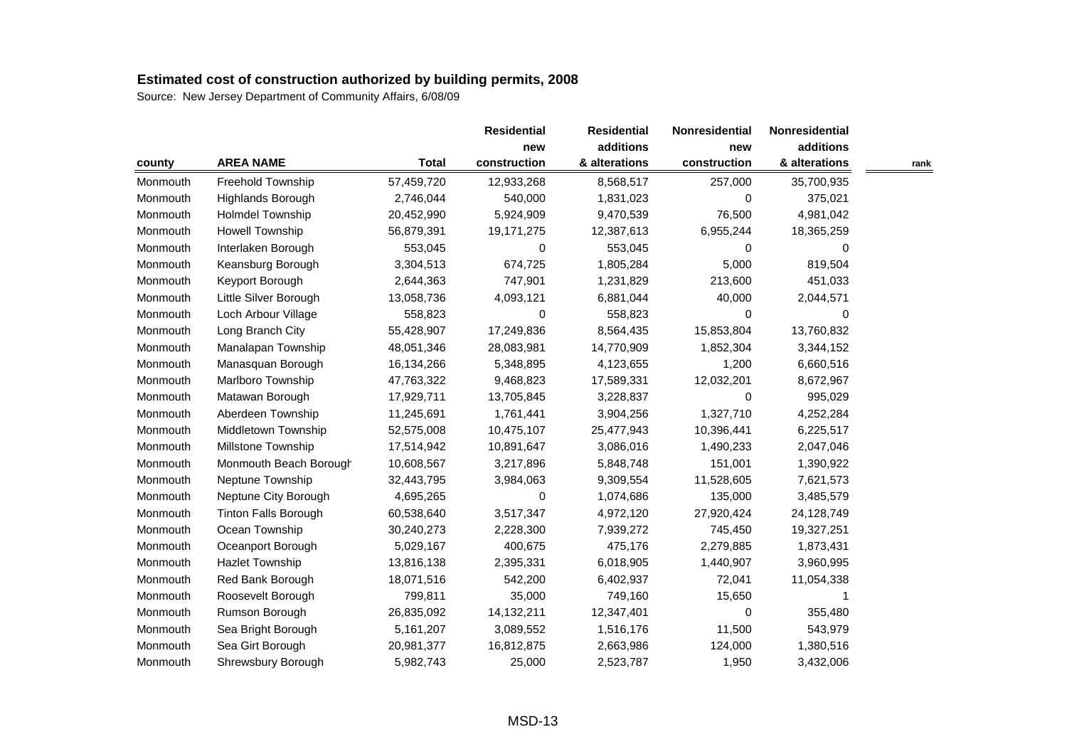| county   |                             |              | <b>Residential</b><br>new | <b>Residential</b><br>additions | <b>Nonresidential</b> | <b>Nonresidential</b> |      |
|----------|-----------------------------|--------------|---------------------------|---------------------------------|-----------------------|-----------------------|------|
|          |                             |              |                           |                                 | new                   | additions             |      |
|          | <b>AREA NAME</b>            | <b>Total</b> | construction              | & alterations                   | construction          | & alterations         | rank |
| Monmouth | Freehold Township           | 57,459,720   | 12,933,268                | 8,568,517                       | 257,000               | 35,700,935            |      |
| Monmouth | Highlands Borough           | 2,746,044    | 540,000                   | 1,831,023                       | 0                     | 375,021               |      |
| Monmouth | Holmdel Township            | 20,452,990   | 5,924,909                 | 9,470,539                       | 76,500                | 4,981,042             |      |
| Monmouth | <b>Howell Township</b>      | 56,879,391   | 19,171,275                | 12,387,613                      | 6,955,244             | 18,365,259            |      |
| Monmouth | Interlaken Borough          | 553,045      | 0                         | 553,045                         | $\Omega$              | 0                     |      |
| Monmouth | Keansburg Borough           | 3,304,513    | 674,725                   | 1,805,284                       | 5,000                 | 819,504               |      |
| Monmouth | Keyport Borough             | 2,644,363    | 747,901                   | 1,231,829                       | 213,600               | 451,033               |      |
| Monmouth | Little Silver Borough       | 13,058,736   | 4,093,121                 | 6,881,044                       | 40,000                | 2,044,571             |      |
| Monmouth | Loch Arbour Village         | 558,823      | 0                         | 558,823                         | 0                     | 0                     |      |
| Monmouth | Long Branch City            | 55,428,907   | 17,249,836                | 8,564,435                       | 15,853,804            | 13,760,832            |      |
| Monmouth | Manalapan Township          | 48,051,346   | 28,083,981                | 14,770,909                      | 1,852,304             | 3,344,152             |      |
| Monmouth | Manasquan Borough           | 16,134,266   | 5,348,895                 | 4,123,655                       | 1,200                 | 6,660,516             |      |
| Monmouth | Marlboro Township           | 47,763,322   | 9,468,823                 | 17,589,331                      | 12,032,201            | 8,672,967             |      |
| Monmouth | Matawan Borough             | 17,929,711   | 13,705,845                | 3,228,837                       | 0                     | 995,029               |      |
| Monmouth | Aberdeen Township           | 11,245,691   | 1,761,441                 | 3,904,256                       | 1,327,710             | 4,252,284             |      |
| Monmouth | Middletown Township         | 52,575,008   | 10,475,107                | 25,477,943                      | 10,396,441            | 6,225,517             |      |
| Monmouth | Millstone Township          | 17,514,942   | 10,891,647                | 3,086,016                       | 1,490,233             | 2,047,046             |      |
| Monmouth | Monmouth Beach Borough      | 10,608,567   | 3,217,896                 | 5,848,748                       | 151,001               | 1,390,922             |      |
| Monmouth | Neptune Township            | 32,443,795   | 3,984,063                 | 9,309,554                       | 11,528,605            | 7,621,573             |      |
| Monmouth | Neptune City Borough        | 4,695,265    | $\Omega$                  | 1,074,686                       | 135,000               | 3,485,579             |      |
| Monmouth | <b>Tinton Falls Borough</b> | 60,538,640   | 3,517,347                 | 4,972,120                       | 27,920,424            | 24,128,749            |      |
| Monmouth | Ocean Township              | 30,240,273   | 2,228,300                 | 7,939,272                       | 745,450               | 19,327,251            |      |
| Monmouth | Oceanport Borough           | 5,029,167    | 400,675                   | 475,176                         | 2,279,885             | 1,873,431             |      |
| Monmouth | Hazlet Township             | 13,816,138   | 2,395,331                 | 6,018,905                       | 1,440,907             | 3,960,995             |      |
| Monmouth | Red Bank Borough            | 18,071,516   | 542,200                   | 6,402,937                       | 72,041                | 11,054,338            |      |
| Monmouth | Roosevelt Borough           | 799,811      | 35,000                    | 749,160                         | 15,650                |                       |      |
| Monmouth | Rumson Borough              | 26,835,092   | 14,132,211                | 12,347,401                      | 0                     | 355,480               |      |
| Monmouth | Sea Bright Borough          | 5,161,207    | 3,089,552                 | 1,516,176                       | 11,500                | 543,979               |      |
| Monmouth | Sea Girt Borough            | 20,981,377   | 16,812,875                | 2,663,986                       | 124,000               | 1,380,516             |      |
| Monmouth | Shrewsbury Borough          | 5,982,743    | 25,000                    | 2,523,787                       | 1,950                 | 3,432,006             |      |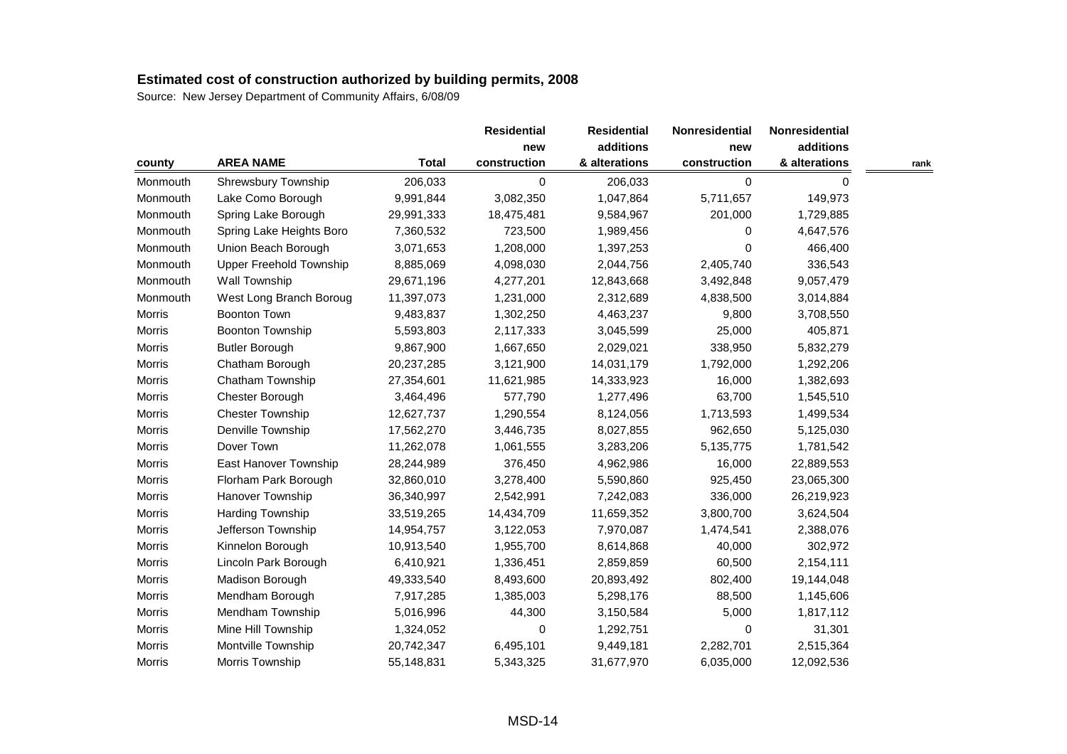| county        |                                |              | <b>Residential</b><br>new | <b>Residential</b> | <b>Nonresidential</b> | Nonresidential<br>additions |      |
|---------------|--------------------------------|--------------|---------------------------|--------------------|-----------------------|-----------------------------|------|
|               |                                |              |                           | additions          | new                   |                             |      |
|               | <b>AREA NAME</b>               | <b>Total</b> | construction              | & alterations      | construction          | & alterations               | rank |
| Monmouth      | Shrewsbury Township            | 206,033      | 0                         | 206,033            | 0                     | $\mathbf 0$                 |      |
| Monmouth      | Lake Como Borough              | 9,991,844    | 3,082,350                 | 1,047,864          | 5,711,657             | 149,973                     |      |
| Monmouth      | Spring Lake Borough            | 29,991,333   | 18,475,481                | 9,584,967          | 201,000               | 1,729,885                   |      |
| Monmouth      | Spring Lake Heights Boro       | 7,360,532    | 723,500                   | 1,989,456          | 0                     | 4,647,576                   |      |
| Monmouth      | Union Beach Borough            | 3,071,653    | 1,208,000                 | 1,397,253          | 0                     | 466,400                     |      |
| Monmouth      | <b>Upper Freehold Township</b> | 8,885,069    | 4,098,030                 | 2,044,756          | 2,405,740             | 336,543                     |      |
| Monmouth      | Wall Township                  | 29,671,196   | 4,277,201                 | 12,843,668         | 3,492,848             | 9,057,479                   |      |
| Monmouth      | West Long Branch Boroug        | 11,397,073   | 1,231,000                 | 2,312,689          | 4,838,500             | 3,014,884                   |      |
| Morris        | <b>Boonton Town</b>            | 9,483,837    | 1,302,250                 | 4,463,237          | 9,800                 | 3,708,550                   |      |
| Morris        | <b>Boonton Township</b>        | 5,593,803    | 2,117,333                 | 3,045,599          | 25,000                | 405,871                     |      |
| Morris        | <b>Butler Borough</b>          | 9,867,900    | 1,667,650                 | 2,029,021          | 338,950               | 5,832,279                   |      |
| Morris        | Chatham Borough                | 20,237,285   | 3,121,900                 | 14,031,179         | 1,792,000             | 1,292,206                   |      |
| Morris        | Chatham Township               | 27,354,601   | 11,621,985                | 14,333,923         | 16,000                | 1,382,693                   |      |
| Morris        | Chester Borough                | 3,464,496    | 577,790                   | 1,277,496          | 63,700                | 1,545,510                   |      |
| Morris        | <b>Chester Township</b>        | 12,627,737   | 1,290,554                 | 8,124,056          | 1,713,593             | 1,499,534                   |      |
| Morris        | Denville Township              | 17,562,270   | 3,446,735                 | 8,027,855          | 962,650               | 5,125,030                   |      |
| <b>Morris</b> | Dover Town                     | 11,262,078   | 1,061,555                 | 3,283,206          | 5,135,775             | 1,781,542                   |      |
| Morris        | East Hanover Township          | 28,244,989   | 376,450                   | 4,962,986          | 16,000                | 22,889,553                  |      |
| Morris        | Florham Park Borough           | 32,860,010   | 3,278,400                 | 5,590,860          | 925,450               | 23,065,300                  |      |
| Morris        | Hanover Township               | 36,340,997   | 2,542,991                 | 7,242,083          | 336,000               | 26,219,923                  |      |
| Morris        | Harding Township               | 33,519,265   | 14,434,709                | 11,659,352         | 3,800,700             | 3,624,504                   |      |
| Morris        | Jefferson Township             | 14,954,757   | 3,122,053                 | 7,970,087          | 1,474,541             | 2,388,076                   |      |
| Morris        | Kinnelon Borough               | 10,913,540   | 1,955,700                 | 8,614,868          | 40,000                | 302,972                     |      |
| <b>Morris</b> | Lincoln Park Borough           | 6,410,921    | 1,336,451                 | 2,859,859          | 60,500                | 2,154,111                   |      |
| Morris        | Madison Borough                | 49,333,540   | 8,493,600                 | 20,893,492         | 802,400               | 19,144,048                  |      |
| Morris        | Mendham Borough                | 7,917,285    | 1,385,003                 | 5,298,176          | 88,500                | 1,145,606                   |      |
| Morris        | Mendham Township               | 5,016,996    | 44,300                    | 3,150,584          | 5,000                 | 1,817,112                   |      |
| Morris        | Mine Hill Township             | 1,324,052    | 0                         | 1,292,751          | 0                     | 31,301                      |      |
| <b>Morris</b> | Montville Township             | 20,742,347   | 6,495,101                 | 9,449,181          | 2,282,701             | 2,515,364                   |      |
| Morris        | Morris Township                | 55,148,831   | 5,343,325                 | 31,677,970         | 6,035,000             | 12,092,536                  |      |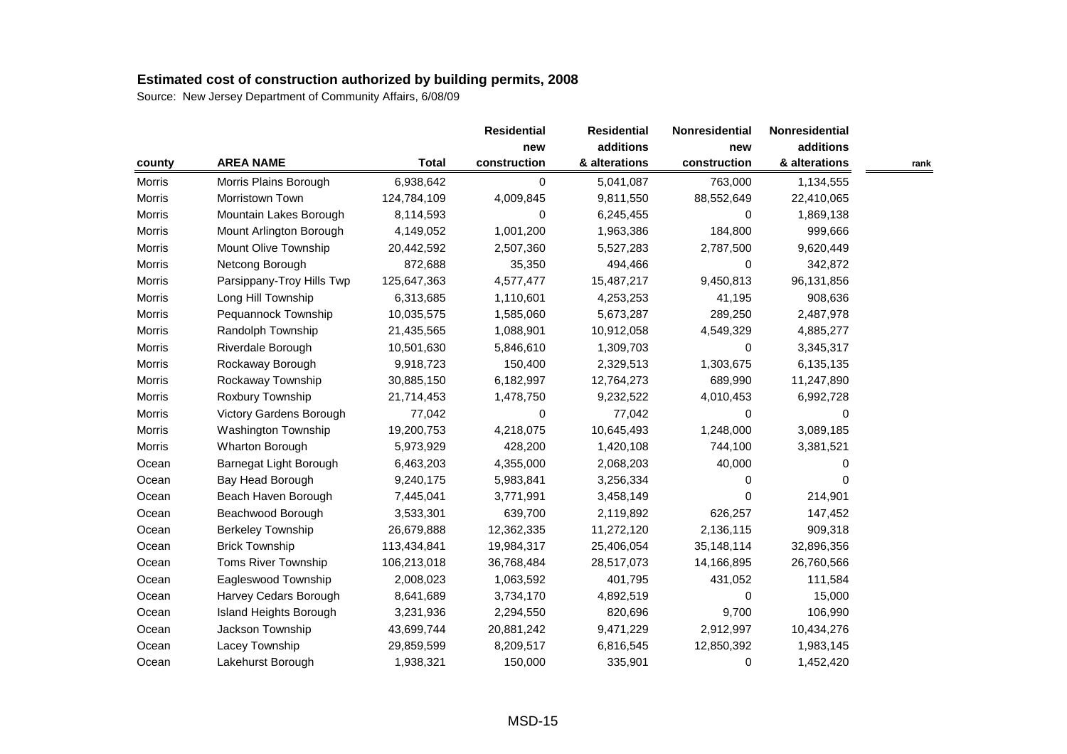| county        |                           |              | <b>Residential</b><br>new | <b>Residential</b> | Nonresidential | Nonresidential |      |
|---------------|---------------------------|--------------|---------------------------|--------------------|----------------|----------------|------|
|               |                           |              |                           | additions          | new            | additions      |      |
|               | <b>AREA NAME</b>          | <b>Total</b> | construction              | & alterations      | construction   | & alterations  | rank |
| Morris        | Morris Plains Borough     | 6,938,642    | 0                         | 5,041,087          | 763,000        | 1,134,555      |      |
| Morris        | Morristown Town           | 124,784,109  | 4,009,845                 | 9,811,550          | 88,552,649     | 22,410,065     |      |
| Morris        | Mountain Lakes Borough    | 8,114,593    | 0                         | 6,245,455          | 0              | 1,869,138      |      |
| Morris        | Mount Arlington Borough   | 4,149,052    | 1,001,200                 | 1,963,386          | 184,800        | 999,666        |      |
| Morris        | Mount Olive Township      | 20,442,592   | 2,507,360                 | 5,527,283          | 2,787,500      | 9,620,449      |      |
| Morris        | Netcong Borough           | 872,688      | 35,350                    | 494,466            | 0              | 342,872        |      |
| Morris        | Parsippany-Troy Hills Twp | 125,647,363  | 4,577,477                 | 15,487,217         | 9,450,813      | 96,131,856     |      |
| <b>Morris</b> | Long Hill Township        | 6,313,685    | 1,110,601                 | 4,253,253          | 41,195         | 908,636        |      |
| Morris        | Pequannock Township       | 10,035,575   | 1,585,060                 | 5,673,287          | 289,250        | 2,487,978      |      |
| Morris        | Randolph Township         | 21,435,565   | 1,088,901                 | 10,912,058         | 4,549,329      | 4,885,277      |      |
| Morris        | Riverdale Borough         | 10,501,630   | 5,846,610                 | 1,309,703          | 0              | 3,345,317      |      |
| <b>Morris</b> | Rockaway Borough          | 9,918,723    | 150,400                   | 2,329,513          | 1,303,675      | 6,135,135      |      |
| Morris        | Rockaway Township         | 30,885,150   | 6,182,997                 | 12,764,273         | 689,990        | 11,247,890     |      |
| Morris        | Roxbury Township          | 21,714,453   | 1,478,750                 | 9,232,522          | 4,010,453      | 6,992,728      |      |
| Morris        | Victory Gardens Borough   | 77,042       | 0                         | 77,042             | 0              | 0              |      |
| Morris        | Washington Township       | 19,200,753   | 4,218,075                 | 10,645,493         | 1,248,000      | 3,089,185      |      |
| <b>Morris</b> | Wharton Borough           | 5,973,929    | 428,200                   | 1,420,108          | 744,100        | 3,381,521      |      |
| Ocean         | Barnegat Light Borough    | 6,463,203    | 4,355,000                 | 2,068,203          | 40,000         | 0              |      |
| Ocean         | Bay Head Borough          | 9,240,175    | 5,983,841                 | 3,256,334          | 0              | 0              |      |
| Ocean         | Beach Haven Borough       | 7,445,041    | 3,771,991                 | 3,458,149          | 0              | 214,901        |      |
| Ocean         | Beachwood Borough         | 3,533,301    | 639,700                   | 2,119,892          | 626,257        | 147,452        |      |
| Ocean         | <b>Berkeley Township</b>  | 26,679,888   | 12,362,335                | 11,272,120         | 2,136,115      | 909,318        |      |
| Ocean         | <b>Brick Township</b>     | 113,434,841  | 19,984,317                | 25,406,054         | 35,148,114     | 32,896,356     |      |
| Ocean         | Toms River Township       | 106,213,018  | 36,768,484                | 28,517,073         | 14,166,895     | 26,760,566     |      |
| Ocean         | Eagleswood Township       | 2,008,023    | 1,063,592                 | 401,795            | 431,052        | 111,584        |      |
| Ocean         | Harvey Cedars Borough     | 8,641,689    | 3,734,170                 | 4,892,519          | 0              | 15,000         |      |
| Ocean         | Island Heights Borough    | 3,231,936    | 2,294,550                 | 820,696            | 9,700          | 106,990        |      |
| Ocean         | Jackson Township          | 43,699,744   | 20,881,242                | 9,471,229          | 2,912,997      | 10,434,276     |      |
| Ocean         | Lacey Township            | 29,859,599   | 8,209,517                 | 6,816,545          | 12,850,392     | 1,983,145      |      |
| Ocean         | Lakehurst Borough         | 1,938,321    | 150,000                   | 335,901            | 0              | 1,452,420      |      |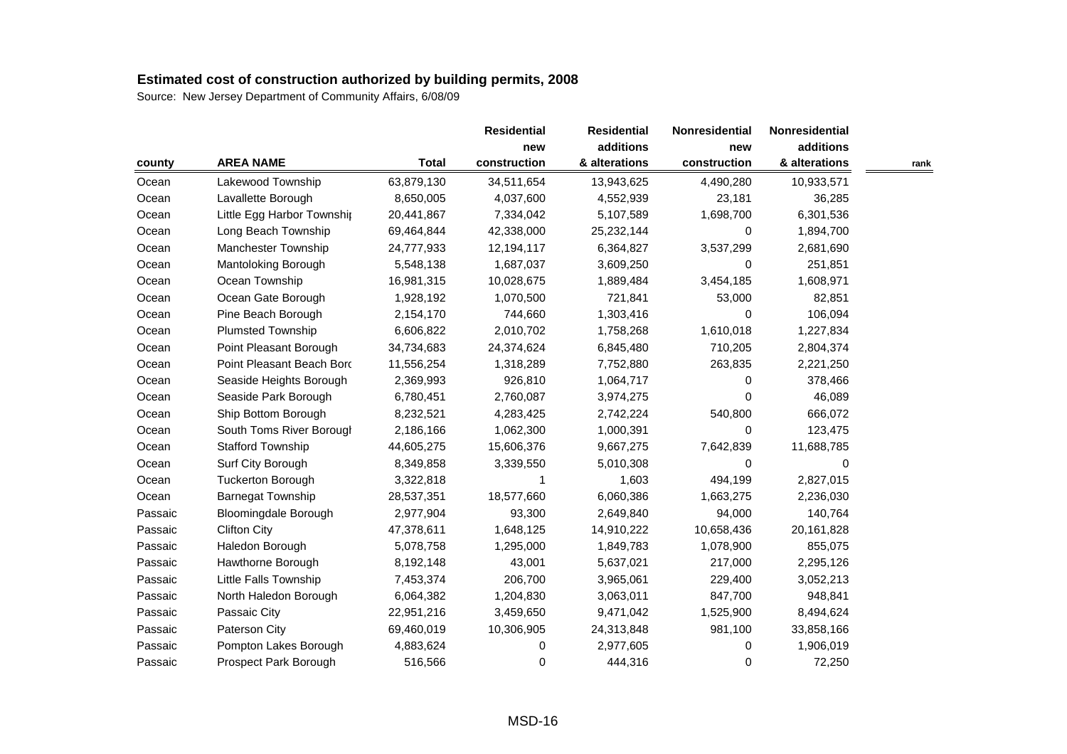| county  |                             |              | <b>Residential</b> | <b>Residential</b> | <b>Nonresidential</b> | Nonresidential |      |
|---------|-----------------------------|--------------|--------------------|--------------------|-----------------------|----------------|------|
|         |                             |              |                    | additions          | new                   | additions      |      |
|         | <b>AREA NAME</b>            | <b>Total</b> | construction       | & alterations      | construction          | & alterations  | rank |
| Ocean   | Lakewood Township           | 63,879,130   | 34,511,654         | 13,943,625         | 4,490,280             | 10,933,571     |      |
| Ocean   | Lavallette Borough          | 8,650,005    | 4,037,600          | 4,552,939          | 23,181                | 36,285         |      |
| Ocean   | Little Egg Harbor Townshir  | 20,441,867   | 7,334,042          | 5,107,589          | 1,698,700             | 6,301,536      |      |
| Ocean   | Long Beach Township         | 69,464,844   | 42,338,000         | 25, 232, 144       | 0                     | 1,894,700      |      |
| Ocean   | Manchester Township         | 24,777,933   | 12,194,117         | 6,364,827          | 3,537,299             | 2,681,690      |      |
| Ocean   | Mantoloking Borough         | 5,548,138    | 1,687,037          | 3,609,250          | 0                     | 251,851        |      |
| Ocean   | Ocean Township              | 16,981,315   | 10,028,675         | 1,889,484          | 3,454,185             | 1,608,971      |      |
| Ocean   | Ocean Gate Borough          | 1,928,192    | 1,070,500          | 721,841            | 53,000                | 82,851         |      |
| Ocean   | Pine Beach Borough          | 2,154,170    | 744,660            | 1,303,416          | 0                     | 106,094        |      |
| Ocean   | <b>Plumsted Township</b>    | 6,606,822    | 2,010,702          | 1,758,268          | 1,610,018             | 1,227,834      |      |
| Ocean   | Point Pleasant Borough      | 34,734,683   | 24,374,624         | 6,845,480          | 710,205               | 2,804,374      |      |
| Ocean   | Point Pleasant Beach Bord   | 11,556,254   | 1,318,289          | 7,752,880          | 263,835               | 2,221,250      |      |
| Ocean   | Seaside Heights Borough     | 2,369,993    | 926,810            | 1,064,717          | 0                     | 378,466        |      |
| Ocean   | Seaside Park Borough        | 6,780,451    | 2,760,087          | 3,974,275          | 0                     | 46,089         |      |
| Ocean   | Ship Bottom Borough         | 8,232,521    | 4,283,425          | 2,742,224          | 540,800               | 666,072        |      |
| Ocean   | South Toms River Borough    | 2,186,166    | 1,062,300          | 1,000,391          | 0                     | 123,475        |      |
| Ocean   | <b>Stafford Township</b>    | 44,605,275   | 15,606,376         | 9,667,275          | 7,642,839             | 11,688,785     |      |
| Ocean   | Surf City Borough           | 8,349,858    | 3,339,550          | 5,010,308          | 0                     | 0              |      |
| Ocean   | <b>Tuckerton Borough</b>    | 3,322,818    | 1                  | 1,603              | 494,199               | 2,827,015      |      |
| Ocean   | <b>Barnegat Township</b>    | 28,537,351   | 18,577,660         | 6,060,386          | 1,663,275             | 2,236,030      |      |
| Passaic | <b>Bloomingdale Borough</b> | 2,977,904    | 93,300             | 2,649,840          | 94,000                | 140,764        |      |
| Passaic | <b>Clifton City</b>         | 47,378,611   | 1,648,125          | 14,910,222         | 10,658,436            | 20,161,828     |      |
| Passaic | Haledon Borough             | 5,078,758    | 1,295,000          | 1,849,783          | 1,078,900             | 855,075        |      |
| Passaic | Hawthorne Borough           | 8,192,148    | 43,001             | 5,637,021          | 217,000               | 2,295,126      |      |
| Passaic | Little Falls Township       | 7,453,374    | 206,700            | 3,965,061          | 229,400               | 3,052,213      |      |
| Passaic | North Haledon Borough       | 6,064,382    | 1,204,830          | 3,063,011          | 847,700               | 948,841        |      |
| Passaic | Passaic City                | 22,951,216   | 3,459,650          | 9,471,042          | 1,525,900             | 8,494,624      |      |
| Passaic | Paterson City               | 69,460,019   | 10,306,905         | 24,313,848         | 981,100               | 33,858,166     |      |
| Passaic | Pompton Lakes Borough       | 4,883,624    | 0                  | 2,977,605          | 0                     | 1,906,019      |      |
| Passaic | Prospect Park Borough       | 516,566      | 0                  | 444,316            | 0                     | 72,250         |      |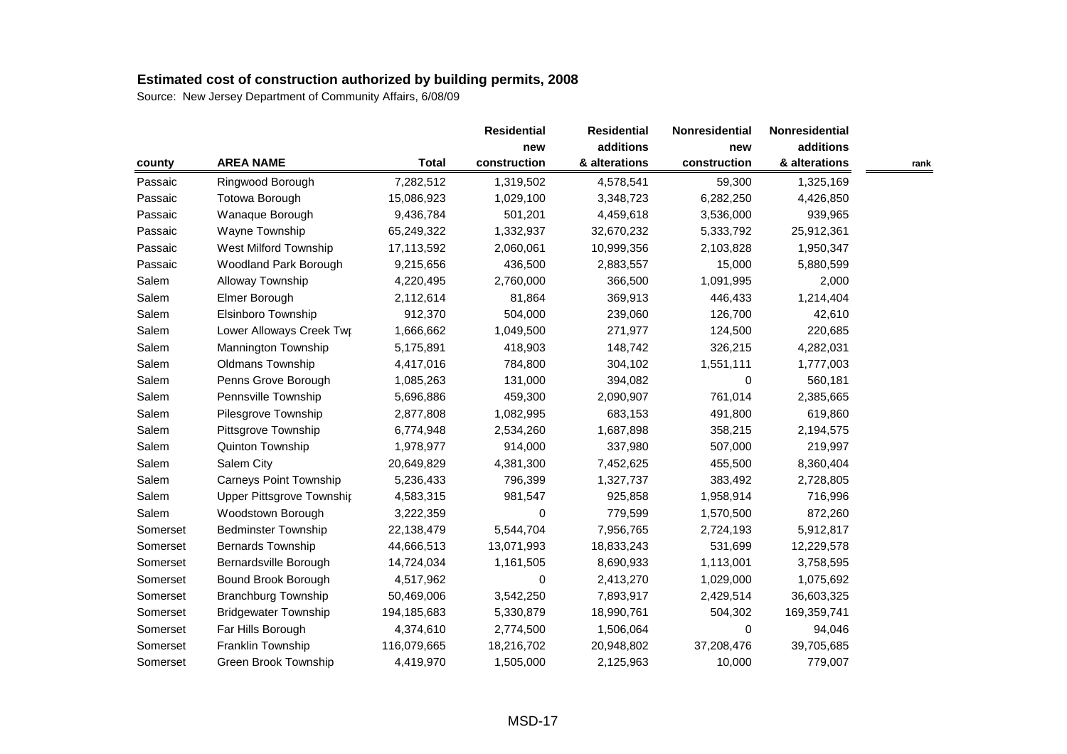| county   |                                  |              | <b>Residential</b><br>new | <b>Residential</b><br>additions | <b>Nonresidential</b> | Nonresidential |      |
|----------|----------------------------------|--------------|---------------------------|---------------------------------|-----------------------|----------------|------|
|          |                                  |              |                           |                                 | new                   | additions      |      |
|          | <b>AREA NAME</b>                 | <b>Total</b> | construction              | & alterations                   | construction          | & alterations  | rank |
| Passaic  | Ringwood Borough                 | 7,282,512    | 1,319,502                 | 4,578,541                       | 59,300                | 1,325,169      |      |
| Passaic  | Totowa Borough                   | 15,086,923   | 1,029,100                 | 3,348,723                       | 6,282,250             | 4,426,850      |      |
| Passaic  | Wanaque Borough                  | 9,436,784    | 501,201                   | 4,459,618                       | 3,536,000             | 939,965        |      |
| Passaic  | Wayne Township                   | 65,249,322   | 1,332,937                 | 32,670,232                      | 5,333,792             | 25,912,361     |      |
| Passaic  | West Milford Township            | 17,113,592   | 2,060,061                 | 10,999,356                      | 2,103,828             | 1,950,347      |      |
| Passaic  | Woodland Park Borough            | 9,215,656    | 436,500                   | 2,883,557                       | 15,000                | 5,880,599      |      |
| Salem    | Alloway Township                 | 4,220,495    | 2,760,000                 | 366,500                         | 1,091,995             | 2,000          |      |
| Salem    | Elmer Borough                    | 2,112,614    | 81,864                    | 369,913                         | 446,433               | 1,214,404      |      |
| Salem    | Elsinboro Township               | 912,370      | 504,000                   | 239,060                         | 126,700               | 42,610         |      |
| Salem    | Lower Alloways Creek Twr         | 1,666,662    | 1,049,500                 | 271,977                         | 124,500               | 220,685        |      |
| Salem    | Mannington Township              | 5,175,891    | 418,903                   | 148,742                         | 326,215               | 4,282,031      |      |
| Salem    | Oldmans Township                 | 4,417,016    | 784,800                   | 304,102                         | 1,551,111             | 1,777,003      |      |
| Salem    | Penns Grove Borough              | 1,085,263    | 131,000                   | 394,082                         | $\Omega$              | 560,181        |      |
| Salem    | Pennsville Township              | 5,696,886    | 459,300                   | 2,090,907                       | 761,014               | 2,385,665      |      |
| Salem    | Pilesgrove Township              | 2,877,808    | 1,082,995                 | 683,153                         | 491,800               | 619,860        |      |
| Salem    | Pittsgrove Township              | 6,774,948    | 2,534,260                 | 1,687,898                       | 358,215               | 2,194,575      |      |
| Salem    | Quinton Township                 | 1,978,977    | 914,000                   | 337,980                         | 507,000               | 219,997        |      |
| Salem    | Salem City                       | 20,649,829   | 4,381,300                 | 7,452,625                       | 455,500               | 8,360,404      |      |
| Salem    | <b>Carneys Point Township</b>    | 5,236,433    | 796,399                   | 1,327,737                       | 383,492               | 2,728,805      |      |
| Salem    | <b>Upper Pittsgrove Township</b> | 4,583,315    | 981,547                   | 925,858                         | 1,958,914             | 716,996        |      |
| Salem    | Woodstown Borough                | 3,222,359    | 0                         | 779,599                         | 1,570,500             | 872,260        |      |
| Somerset | <b>Bedminster Township</b>       | 22,138,479   | 5,544,704                 | 7,956,765                       | 2,724,193             | 5,912,817      |      |
| Somerset | Bernards Township                | 44,666,513   | 13,071,993                | 18,833,243                      | 531,699               | 12,229,578     |      |
| Somerset | Bernardsville Borough            | 14,724,034   | 1,161,505                 | 8,690,933                       | 1,113,001             | 3,758,595      |      |
| Somerset | Bound Brook Borough              | 4,517,962    | 0                         | 2,413,270                       | 1,029,000             | 1,075,692      |      |
| Somerset | <b>Branchburg Township</b>       | 50,469,006   | 3,542,250                 | 7,893,917                       | 2,429,514             | 36,603,325     |      |
| Somerset | <b>Bridgewater Township</b>      | 194,185,683  | 5,330,879                 | 18,990,761                      | 504,302               | 169,359,741    |      |
| Somerset | Far Hills Borough                | 4,374,610    | 2,774,500                 | 1,506,064                       | 0                     | 94,046         |      |
| Somerset | Franklin Township                | 116,079,665  | 18,216,702                | 20,948,802                      | 37,208,476            | 39,705,685     |      |
| Somerset | Green Brook Township             | 4,419,970    | 1,505,000                 | 2,125,963                       | 10,000                | 779,007        |      |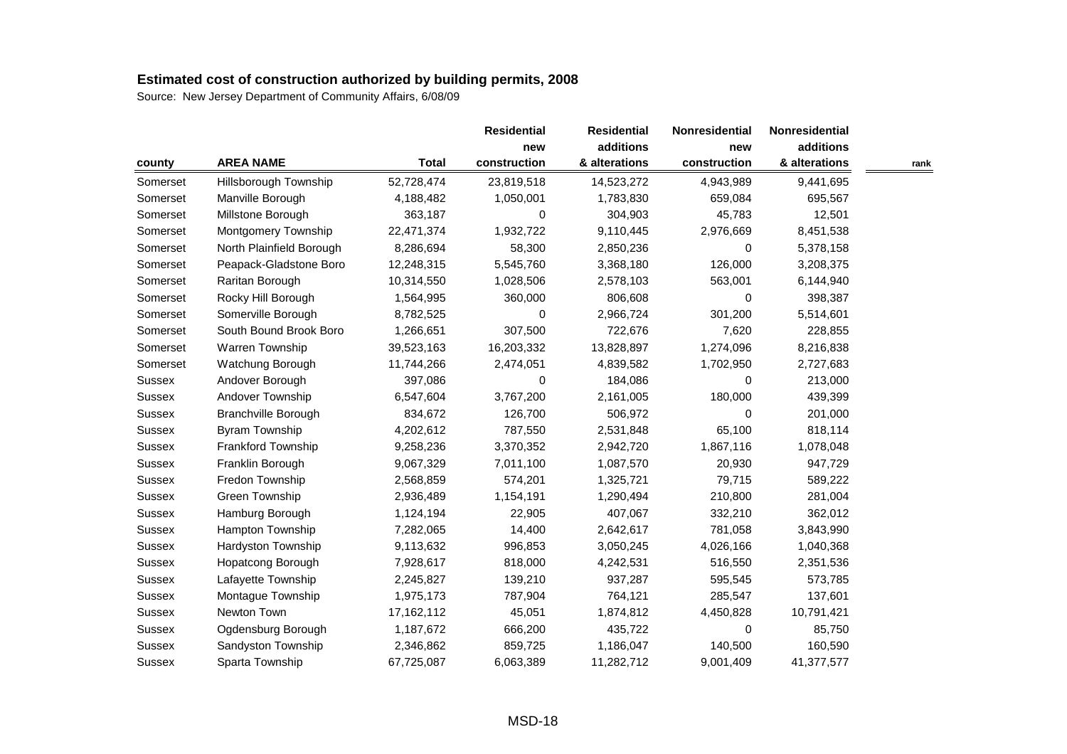| county        |                            |              | <b>Residential</b><br>new | <b>Residential</b> | Nonresidential | Nonresidential |      |
|---------------|----------------------------|--------------|---------------------------|--------------------|----------------|----------------|------|
|               |                            |              |                           | additions          | new            | additions      |      |
|               | <b>AREA NAME</b>           | <b>Total</b> | construction              | & alterations      | construction   | & alterations  | rank |
| Somerset      | Hillsborough Township      | 52,728,474   | 23,819,518                | 14,523,272         | 4,943,989      | 9,441,695      |      |
| Somerset      | Manville Borough           | 4,188,482    | 1,050,001                 | 1,783,830          | 659,084        | 695,567        |      |
| Somerset      | Millstone Borough          | 363,187      | 0                         | 304,903            | 45,783         | 12,501         |      |
| Somerset      | Montgomery Township        | 22,471,374   | 1,932,722                 | 9,110,445          | 2,976,669      | 8,451,538      |      |
| Somerset      | North Plainfield Borough   | 8,286,694    | 58,300                    | 2,850,236          | 0              | 5,378,158      |      |
| Somerset      | Peapack-Gladstone Boro     | 12,248,315   | 5,545,760                 | 3,368,180          | 126,000        | 3,208,375      |      |
| Somerset      | Raritan Borough            | 10,314,550   | 1,028,506                 | 2,578,103          | 563,001        | 6,144,940      |      |
| Somerset      | Rocky Hill Borough         | 1,564,995    | 360,000                   | 806,608            | 0              | 398,387        |      |
| Somerset      | Somerville Borough         | 8,782,525    | 0                         | 2,966,724          | 301,200        | 5,514,601      |      |
| Somerset      | South Bound Brook Boro     | 1,266,651    | 307,500                   | 722,676            | 7,620          | 228,855        |      |
| Somerset      | Warren Township            | 39,523,163   | 16,203,332                | 13,828,897         | 1,274,096      | 8,216,838      |      |
| Somerset      | Watchung Borough           | 11,744,266   | 2,474,051                 | 4,839,582          | 1,702,950      | 2,727,683      |      |
| Sussex        | Andover Borough            | 397,086      | 0                         | 184,086            | 0              | 213,000        |      |
| <b>Sussex</b> | Andover Township           | 6,547,604    | 3,767,200                 | 2,161,005          | 180,000        | 439,399        |      |
| Sussex        | <b>Branchville Borough</b> | 834,672      | 126,700                   | 506,972            | 0              | 201,000        |      |
| Sussex        | <b>Byram Township</b>      | 4,202,612    | 787,550                   | 2,531,848          | 65,100         | 818,114        |      |
| Sussex        | Frankford Township         | 9,258,236    | 3,370,352                 | 2,942,720          | 1,867,116      | 1,078,048      |      |
| Sussex        | Franklin Borough           | 9,067,329    | 7,011,100                 | 1,087,570          | 20,930         | 947,729        |      |
| Sussex        | Fredon Township            | 2,568,859    | 574,201                   | 1,325,721          | 79,715         | 589,222        |      |
| Sussex        | Green Township             | 2,936,489    | 1,154,191                 | 1,290,494          | 210,800        | 281,004        |      |
| Sussex        | Hamburg Borough            | 1,124,194    | 22,905                    | 407,067            | 332,210        | 362,012        |      |
| Sussex        | Hampton Township           | 7,282,065    | 14,400                    | 2,642,617          | 781,058        | 3,843,990      |      |
| Sussex        | Hardyston Township         | 9,113,632    | 996,853                   | 3,050,245          | 4,026,166      | 1,040,368      |      |
| Sussex        | Hopatcong Borough          | 7,928,617    | 818,000                   | 4,242,531          | 516,550        | 2,351,536      |      |
| <b>Sussex</b> | Lafayette Township         | 2,245,827    | 139,210                   | 937,287            | 595,545        | 573,785        |      |
| Sussex        | Montague Township          | 1,975,173    | 787,904                   | 764,121            | 285,547        | 137,601        |      |
| Sussex        | Newton Town                | 17,162,112   | 45,051                    | 1,874,812          | 4,450,828      | 10,791,421     |      |
| Sussex        | Ogdensburg Borough         | 1,187,672    | 666,200                   | 435,722            | 0              | 85,750         |      |
| Sussex        | Sandyston Township         | 2,346,862    | 859,725                   | 1,186,047          | 140,500        | 160,590        |      |
| <b>Sussex</b> | Sparta Township            | 67,725,087   | 6,063,389                 | 11,282,712         | 9,001,409      | 41,377,577     |      |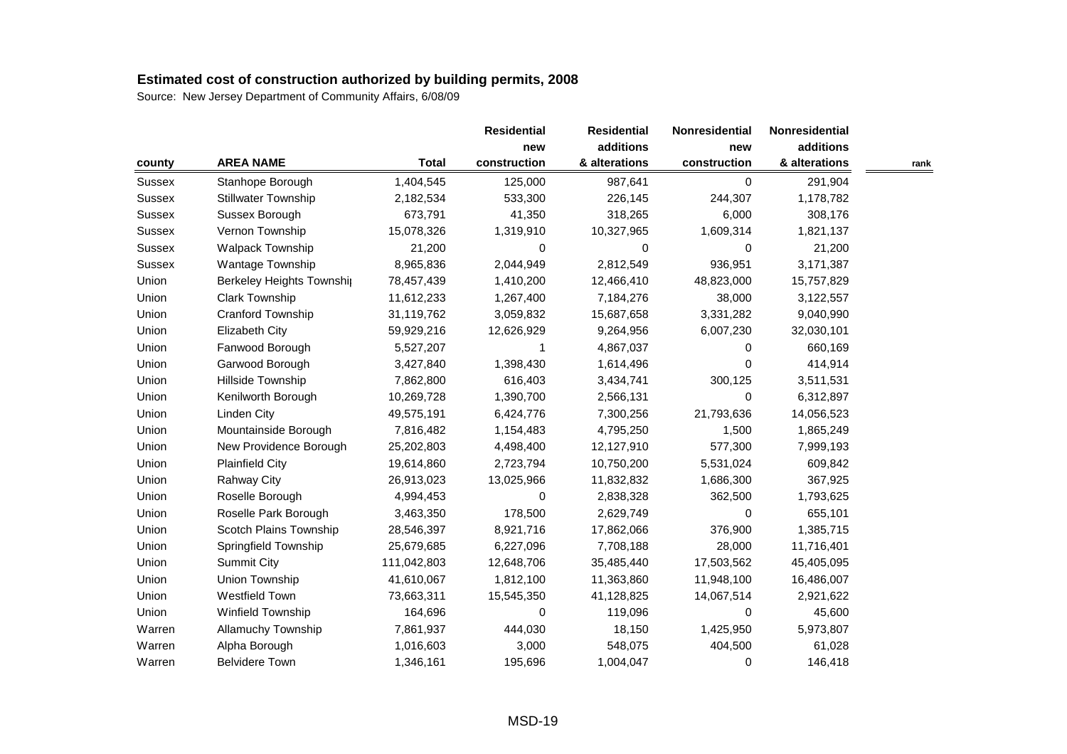| county        |                           |              | <b>Residential</b> | <b>Residential</b> | Nonresidential | Nonresidential |      |
|---------------|---------------------------|--------------|--------------------|--------------------|----------------|----------------|------|
|               |                           |              |                    | additions          | new            | additions      |      |
|               | <b>AREA NAME</b>          | <b>Total</b> | construction       | & alterations      | construction   | & alterations  | rank |
| Sussex        | Stanhope Borough          | 1,404,545    | 125,000            | 987,641            | $\mathbf 0$    | 291,904        |      |
| <b>Sussex</b> | Stillwater Township       | 2,182,534    | 533,300            | 226,145            | 244,307        | 1,178,782      |      |
| <b>Sussex</b> | Sussex Borough            | 673,791      | 41,350             | 318,265            | 6,000          | 308,176        |      |
| <b>Sussex</b> | Vernon Township           | 15,078,326   | 1,319,910          | 10,327,965         | 1,609,314      | 1,821,137      |      |
| <b>Sussex</b> | <b>Walpack Township</b>   | 21,200       | 0                  | $\Omega$           | 0              | 21,200         |      |
| <b>Sussex</b> | Wantage Township          | 8,965,836    | 2,044,949          | 2,812,549          | 936,951        | 3,171,387      |      |
| Union         | Berkeley Heights Township | 78,457,439   | 1,410,200          | 12,466,410         | 48,823,000     | 15,757,829     |      |
| Union         | <b>Clark Township</b>     | 11,612,233   | 1,267,400          | 7,184,276          | 38,000         | 3,122,557      |      |
| Union         | Cranford Township         | 31,119,762   | 3,059,832          | 15,687,658         | 3,331,282      | 9,040,990      |      |
| Union         | <b>Elizabeth City</b>     | 59,929,216   | 12,626,929         | 9,264,956          | 6,007,230      | 32,030,101     |      |
| Union         | Fanwood Borough           | 5,527,207    | 1                  | 4,867,037          | 0              | 660,169        |      |
| Union         | Garwood Borough           | 3,427,840    | 1,398,430          | 1,614,496          | $\Omega$       | 414,914        |      |
| Union         | Hillside Township         | 7,862,800    | 616,403            | 3,434,741          | 300,125        | 3,511,531      |      |
| Union         | Kenilworth Borough        | 10,269,728   | 1,390,700          | 2,566,131          | 0              | 6,312,897      |      |
| Union         | Linden City               | 49,575,191   | 6,424,776          | 7,300,256          | 21,793,636     | 14,056,523     |      |
| Union         | Mountainside Borough      | 7,816,482    | 1,154,483          | 4,795,250          | 1,500          | 1,865,249      |      |
| Union         | New Providence Borough    | 25,202,803   | 4,498,400          | 12,127,910         | 577,300        | 7,999,193      |      |
| Union         | <b>Plainfield City</b>    | 19,614,860   | 2,723,794          | 10,750,200         | 5,531,024      | 609,842        |      |
| Union         | Rahway City               | 26,913,023   | 13,025,966         | 11,832,832         | 1,686,300      | 367,925        |      |
| Union         | Roselle Borough           | 4,994,453    | 0                  | 2,838,328          | 362,500        | 1,793,625      |      |
| Union         | Roselle Park Borough      | 3,463,350    | 178,500            | 2,629,749          | 0              | 655,101        |      |
| Union         | Scotch Plains Township    | 28,546,397   | 8,921,716          | 17,862,066         | 376,900        | 1,385,715      |      |
| Union         | Springfield Township      | 25,679,685   | 6,227,096          | 7,708,188          | 28,000         | 11,716,401     |      |
| Union         | <b>Summit City</b>        | 111,042,803  | 12,648,706         | 35,485,440         | 17,503,562     | 45,405,095     |      |
| Union         | Union Township            | 41,610,067   | 1,812,100          | 11,363,860         | 11,948,100     | 16,486,007     |      |
| Union         | Westfield Town            | 73,663,311   | 15,545,350         | 41,128,825         | 14,067,514     | 2,921,622      |      |
| Union         | Winfield Township         | 164,696      | 0                  | 119,096            | 0              | 45,600         |      |
| Warren        | Allamuchy Township        | 7,861,937    | 444,030            | 18,150             | 1,425,950      | 5,973,807      |      |
| Warren        | Alpha Borough             | 1,016,603    | 3,000              | 548,075            | 404,500        | 61,028         |      |
| Warren        | <b>Belvidere Town</b>     | 1,346,161    | 195,696            | 1,004,047          | 0              | 146,418        |      |